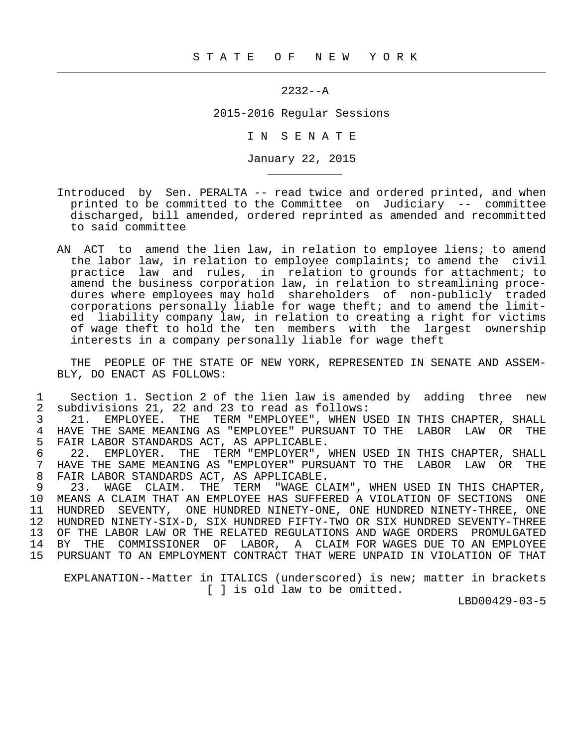$\frac{1}{2}$  , and the contribution of the contribution of the contribution of the contribution of the contribution of the contribution of the contribution of the contribution of the contribution of the contribution of the c

\_\_\_\_\_\_\_\_\_\_\_

## $2232 - -A$

2015-2016 Regular Sessions

I N S E N A T E

January 22, 2015

- Introduced by Sen. PERALTA -- read twice and ordered printed, and when printed to be committed to the Committee on Judiciary -- committee discharged, bill amended, ordered reprinted as amended and recommitted to said committee
- AN ACT to amend the lien law, in relation to employee liens; to amend the labor law, in relation to employee complaints; to amend the civil practice law and rules, in relation to grounds for attachment; to amend the business corporation law, in relation to streamlining proce dures where employees may hold shareholders of non-publicly traded corporations personally liable for wage theft; and to amend the limit ed liability company law, in relation to creating a right for victims of wage theft to hold the ten members with the largest ownership interests in a company personally liable for wage theft

 THE PEOPLE OF THE STATE OF NEW YORK, REPRESENTED IN SENATE AND ASSEM- BLY, DO ENACT AS FOLLOWS:

1 Section 1. Section 2 of the lien law is amended by adding three new<br>2 subdivisions 21, 22 and 23 to read as follows: 2 subdivisions 21, 22 and 23 to read as follows:

 3 21. EMPLOYEE. THE TERM "EMPLOYEE", WHEN USED IN THIS CHAPTER, SHALL 4 HAVE THE SAME MEANING AS "EMPLOYEE" PURSUANT TO THE LABOR LAW OR THE 5 FAIR LABOR STANDARDS ACT, AS APPLICABLE.<br>6 22. EMPLOYER. THE TERM "EMPLOYER".

6 22. EMPLOYER. THE TERM "EMPLOYER", WHEN USED IN THIS CHAPTER, SHALL<br>7 HAVE THE SAME MEANING AS "EMPLOYER" PURSUANT TO THE LABOR LAW OR THE 7 HAVE THE SAME MEANING AS "EMPLOYER" PURSUANT TO THE LABOR LAW OR THE 8 FAIR LABOR STANDARDS ACT, AS APPLICABLE.<br>9 23. WAGE CLAIM. THE TERM "WAGE CL

9 23. WAGE CLAIM. THE TERM "WAGE CLAIM", WHEN USED IN THIS CHAPTER,<br>10 MEANS A CLAIM THAT AN EMPLOYEE HAS SUFFERED A VIOLATION OF SECTIONS ONE 10 MEANS A CLAIM THAT AN EMPLOYEE HAS SUFFERED A VIOLATION OF SECTIONS ONE 11 HUNDRED SEVENTY, ONE HUNDRED NINETY-ONE, ONE HUNDRED NINETY-THREE, ONE 12 HUNDRED NINETY-SIX-D, SIX HUNDRED FIFTY-TWO OR SIX HUNDRED SEVENTY-THREE 13 OF THE LABOR LAW OR THE RELATED REGULATIONS AND WAGE ORDERS PROMULGATED<br>14 BY THE COMMISSIONER OF LABOR, A CLAIM FOR WAGES DUE TO AN EMPLOYEE THE COMMISSIONER OF LABOR, A CLAIM FOR WAGES DUE TO AN EMPLOYEE 15 PURSUANT TO AN EMPLOYMENT CONTRACT THAT WERE UNPAID IN VIOLATION OF THAT

 EXPLANATION--Matter in ITALICS (underscored) is new; matter in brackets [ ] is old law to be omitted.

LBD00429-03-5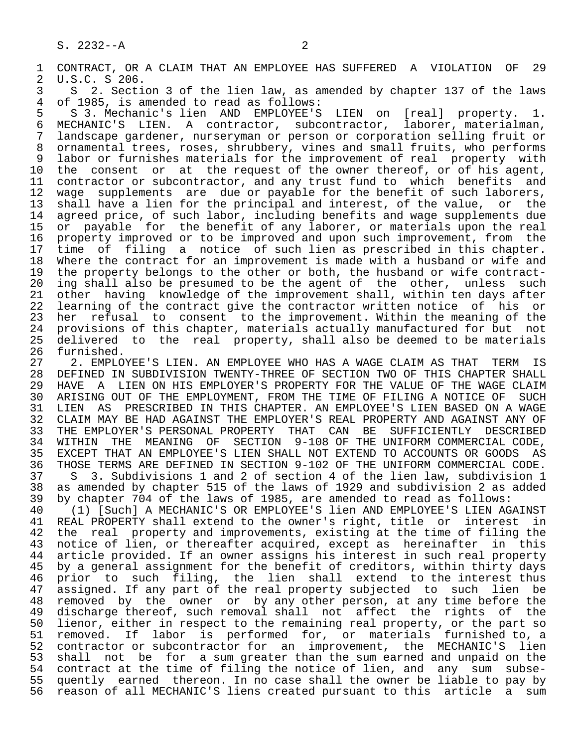1 CONTRACT, OR A CLAIM THAT AN EMPLOYEE HAS SUFFERED A VIOLATION OF 29<br>2 U.S.C. S 206. 2 U.S.C. S 206.<br>3 S 2. Secti

3 S 2. Section 3 of the lien law, as amended by chapter 137 of the laws<br>4 of 1985, is amended to read as follows: 4 of 1985, is amended to read as follows:

5 S 3. Mechanic's lien AND EMPLOYEE'S LIEN on [real] property. 1.<br>6 MECHANIC'S LIEN. A contractor, subcontractor, laborer, materialman, 6 MECHANIC'S LIEN. A contractor, subcontractor, laborer, materialman, 7 landscape gardener, nurseryman or person or corporation selling fruit or 8 ornamental trees, roses, shrubbery, vines and small fruits, who performs 9 labor or furnishes materials for the improvement of real property with<br>10 the consent or at the request of the owner thereof, or of his agent, 10 the consent or at the request of the owner thereof, or of his agent,<br>11 contractor or subcontractor, and any trust fund to which benefits and 11 contractor or subcontractor, and any trust fund to which benefits and<br>12 wage supplements are due or payable for the benefit of such laborers, 12 wage supplements are due or payable for the benefit of such laborers,<br>13 shall have a lien for the principal and interest, of the value, or the 13 shall have a lien for the principal and interest, of the value, or the<br>14 agreed price, of such labor, including benefits and wage supplements due agreed price, of such labor, including benefits and wage supplements due 15 or payable for the benefit of any laborer, or materials upon the real<br>16 property improved or to be improved and upon such improvement, from the 16 property improved or to be improved and upon such improvement, from the<br>17 time of filing a notice of such lien as prescribed in this chapter. 17 time of filing a notice of such lien as prescribed in this chapter.<br>18 Where the contract for an improvement is made with a husband or wife and 18 Where the contract for an improvement is made with a husband or wife and<br>19 the property belongs to the other or both, the husband or wife contract-19 the property belongs to the other or both, the husband or wife contract-<br>20 ing shall also be presumed to be the agent of the other, unless such 20 ing shall also be presumed to be the agent of the other, unless such<br>21 other having knowledge of the improvement shall, within ten days after 21 other having knowledge of the improvement shall, within ten days after<br>22 learning of the contract give the contractor written notice of his or 22 learning of the contract give the contractor written notice of his or<br>23 her refusal to consent to the improvement. Within the meaning of the her refusal to consent to the improvement. Within the meaning of the 23 The constant of the chapter, materials actually manufactured for but not<br>25 delivered to the real property, shall also be deemed to be materials 25 delivered to the real property, shall also be deemed to be materials

26 furnished.<br>27 2. EMPLO 27 2. EMPLOYEE'S LIEN. AN EMPLOYEE WHO HAS A WAGE CLAIM AS THAT TERM IS<br>28 DEFINED IN SUBDIVISION TWENTY-THREE OF SECTION TWO OF THIS CHAPTER SHALL 28 DEFINED IN SUBDIVISION TWENTY-THREE OF SECTION TWO OF THIS CHAPTER SHALL<br>29 HAVE A LIEN ON HIS EMPLOYER'S PROPERTY FOR THE VALUE OF THE WAGE CLAIM 29 HAVE A LIEN ON HIS EMPLOYER'S PROPERTY FOR THE VALUE OF THE WAGE CLAIM 30 ARISING OUT OF THE EMPLOYMENT, FROM THE TIME OF FILING A NOTICE OF SUCH<br>31 LIEN AS PRESCRIBED IN THIS CHAPTER. AN EMPLOYEE'S LIEN BASED ON A WAGE 31 LIEN AS PRESCRIBED IN THIS CHAPTER. AN EMPLOYEE'S LIEN BASED ON A WAGE<br>32 CLAIM MAY BE HAD AGAINST THE EMPLOYER'S REAL PROPERTY AND AGAINST ANY OF 32 CLAIM MAY BE HAD AGAINST THE EMPLOYER'S REAL PROPERTY AND AGAINST ANY OF<br>33 THE EMPLOYER'S PERSONAL PROPERTY THAT CAN BE SUFFICIENTLY DESCRIBED 33 THE EMPLOYER'S PERSONAL PROPERTY THAT CAN BE SUFFICIENTLY DESCRIBED<br>34 WITHIN THE MEANING OF SECTION 9-108 OF THE UNIFORM COMMERCIAL CODE, 34 WITHIN THE MEANING OF SECTION 9-108 OF THE UNIFORM COMMERCIAL CODE,<br>35 EXCEPT THAT AN EMPLOYEE'S LIEN SHALL NOT EXTEND TO ACCOUNTS OR GOODS AS 35 EXCEPT THAT AN EMPLOYEE'S LIEN SHALL NOT EXTEND TO ACCOUNTS OR GOODS AS<br>36 THOSE TERMS ARE DEFINED IN SECTION 9-102 OF THE UNIFORM COMMERCIAL CODE. THOSE TERMS ARE DEFINED IN SECTION 9-102 OF THE UNIFORM COMMERCIAL CODE. 37 S 3. Subdivisions 1 and 2 of section 4 of the lien law, subdivision 1<br>38 as amended by chapter 515 of the laws of 1929 and subdivision 2 as added 38 as amended by chapter 515 of the laws of 1929 and subdivision 2 as added<br>39 by chapter 704 of the laws of 1985, are amended to read as follows:

39 by chapter 704 of the laws of 1985, are amended to read as follows:<br>40 (1) [Such] A MECHANIC'S OR EMPLOYEE'S lien AND EMPLOYEE'S LIEN AG 40 (1) [Such] A MECHANIC'S OR EMPLOYEE'S lien AND EMPLOYEE'S LIEN AGAINST<br>41 REAL PROPERTY shall extend to the owner's right, title or interest in 41 REAL PROPERTY shall extend to the owner's right, title or interest in<br>42 the real property and improvements, existing at the time of filing the 42 the real property and improvements, existing at the time of filing the<br>43 notice of lien, or thereafter acquired, except as hereinafter in this 43 notice of lien, or thereafter acquired, except as hereinafter in this<br>44 article provided. If an owner assigns his interest in such real property 44 article provided. If an owner assigns his interest in such real property<br>45 by a general assignment for the benefit of creditors, within thirty days by a general assignment for the benefit of creditors, within thirty days 46 prior to such filing, the lien shall extend to the interest thus<br>47 assigned. If any part of the real property subjected to such lien be assigned. If any part of the real property subjected to such lien be 48 removed by the owner or by any other-person, at any time-before the<br>49 discharge thereof, such removal shall not affect the rights of the 49 discharge thereof, such removal shall not affect the rights of the<br>50 lienor, either in respect to the remaining real property, or the part so 50 lienor, either in respect to the remaining real property, or the part so<br>51 removed. If labor is performed for, or materials furnished to, a 51 removed. If labor is performed for, or materials furnished to, a<br>52 contractor or subcontractor for an improvement, the MECHANIC'S lien 52 contractor or subcontractor for an improvement, the MECHANIC'S lien<br>53 shall not be for a sum greater than the sum earned and unpaid on the 53 shall not be for a sum greater than the sum earned and unpaid on the<br>54 contract at the time of filing the notice of lien, and any sum subse-54 contract at the time of filing the notice of lien, and any sum subse-<br>55 quently earned thereon. In no case shall the owner be liable to pay by 55 quently earned thereon. In no case shall the owner be liable to pay by<br>56 reason of all MECHANIC'S liens created pursuant to this article a sum 56 reason of all MECHANIC'S liens created pursuant to this article a sum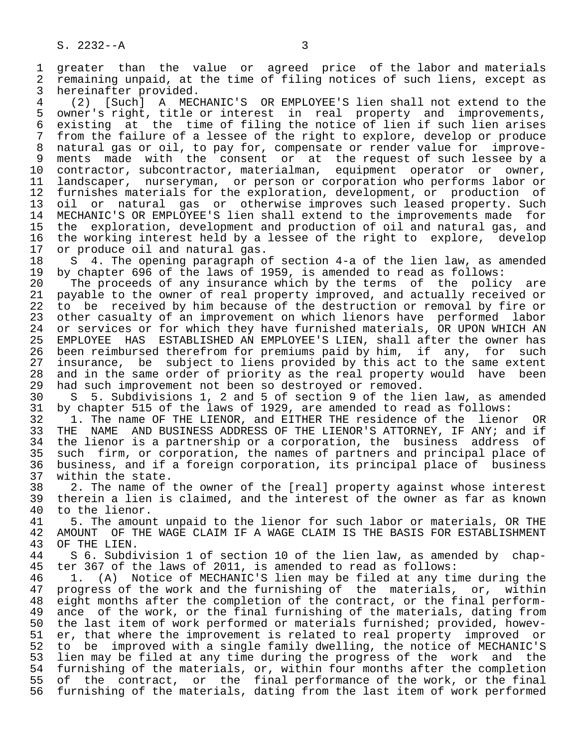2 remaining unpaid, at the time of filing notices of such liens, except as<br>3 hereinafter provided. 3 hereinafter provided.<br>4 (2) [Such] A MEC 4 (2) [Such] A MECHANIC'S OR EMPLOYEE'S lien shall not extend to the 5 owner's right, title or interest in real property and improvements, 6 existing at the time of filing the notice of lien if such lien arises 7 from the failure of a lessee of the right to explore, develop or produce 8 natural gas or oil, to pay for, compensate or render value for improve- 9 ments made with the consent or at the request of such lessee by a<br>10 contractor, subcontractor, materialman, equipment operator or owner, 10 contractor, subcontractor, materialman,<br>11 landscaper, nurseryman, or person or co 11 landscaper, nurseryman, or person or corporation who performs labor or<br>12 furnishes materials for the exploration, development, or production of 12 furnishes materials for the exploration, development, or production of<br>13 oil or natural gas or otherwise improves such leased property. Such 13 oil or natural gas or otherwise improves such leased property. Such<br>14 MECHANIC'S OR EMPLOYEE'S lien shall extend to the improvements made for MECHANIC'S OR EMPLOYEE'S lien shall extend to the improvements made for 15 the exploration, development and production of oil and natural gas, and<br>16 the working interest held by a lessee of the right to explore, develop 16 the working interest held by a lessee of the right to explore, develop 17 or produce oil and natural gas. 17 or produce oil and natural gas.<br>18 S 4. The opening paragraph or

18 S 4. The opening paragraph of section 4-a of the lien law, as amended<br>19 by chapter 696 of the laws of 1959, is amended to read as follows: 19 by chapter 696 of the laws of 1959, is amended to read as follows:<br>20 The proceeds of any insurance which by the terms of the polic

20 The proceeds of any insurance which by the terms of the policy are<br>21 payable to the owner of real property improved, and actually received or 21 payable to the owner of real property improved, and actually received or<br>22 to be received by him because of the destruction or removal by fire or 22 to be received by him because of the destruction or removal by fire or<br>23 other casualty of an improvement on which lienors have performed labor other casualty of an improvement on which lienors have performed labor 24 or services or for which they have furnished materials, OR UPON WHICH AN<br>25 EMPLOYEE HAS ESTABLISHED AN EMPLOYEE'S LIEN, shall after the owner has 25 EMPLOYEE HAS ESTABLISHED AN EMPLOYEE'S LIEN, shall after the owner has 26 been reimbursed therefrom for premiums paid by him, if any, for such<br>27 insurance, be subject to liens provided by this act to the same extent 27 insurance, be subject to liens provided by this act to the same extent<br>28 and in the same order of priority as the real property would have been 28 and in the same order of priority as the real property would have been<br>29 had such improvement not been so destroyed or removed. 29 had such improvement not been so destroyed or removed.<br>30 S 5. Subdivisions 1, 2 and 5 of section 9 of the li

30 S 5. Subdivisions 1, 2 and 5 of section 9 of the lien law, as amended<br>31 by chapter 515 of the laws of 1929, are amended to read as follows: 31 by chapter 515 of the laws of 1929, are amended to read as follows:<br>32 1. The name OF THE LIENOR, and EITHER THE residence of the lienor

32 1. The name OF THE LIENOR, and EITHER THE residence of the lienor OR<br>33 THE NAME AND BUSINESS ADDRESS OF THE LIENOR'S ATTORNEY, IF ANY; and if 33 THE NAME AND BUSINESS ADDRESS OF THE LIENOR'S ATTORNEY, IF ANY; and if<br>34 the lienor is a partnership or a corporation, the business address of 34 the lienor is a partnership or a corporation, the business address of<br>35 such firm, or corporation, the names of partners and principal place of 35 such firm, or corporation, the names of partners and principal place of<br>36 business, and if a foreign corporation, its principal place of business business, and if a foreign corporation, its principal place of business 37 within the state.<br>38 2. The name of

38 2. The name of the owner of the [real] property against whose interest<br>39 therein a lien is claimed, and the interest of the owner as far as known 39 therein a lien is claimed, and the interest of the owner as far as known<br>40 to the lienor. 40 to the lienor.<br>41 5. The amoun

41 5. The amount unpaid to the lienor for such labor or materials, OR THE 42 AMOUNT OF THE WAGE CLAIM IF A WAGE CLAIM IS THE BASIS FOR ESTABLISHMENT 42 AMOUNT OF THE WAGE CLAIM IF A WAGE CLAIM IS THE BASIS FOR ESTABLISHMENT 43 OF THE LIEN. 43 OF THE LIEN.<br>44 S 6. Subdi

44 S 6. Subdivision 1 of section 10 of the lien law, as amended by chap-<br>45 ter 367 of the laws of 2011, is amended to read as follows: ter 367 of the laws of 2011, is amended to read as follows:

46 1. (A) Notice of MECHANIC'S lien may be filed at any time during the<br>47 progress of the work and the furnishing of the materials, or, within progress of the work and the furnishing of the materials, or, within 48 eight months after the completion of the contract, or the final perform-<br>49 ance of the work, or the final furnishing of the materials, dating from 49 ance of the work, or the final furnishing of the materials, dating from<br>50 the last item of work performed or materials furnished; provided, howev-50 the last item of work performed or materials furnished; provided, howev-<br>51 er, that where the improvement is related to real property improved or 51 er, that where the improvement is related to real property improved or<br>52 to be improved with a single family dwelling, the notice of MECHANIC'S 52 to be improved with a single family dwelling, the notice of MECHANIC'S<br>53 lien may be filed at any time during the progress of the work and the 53 lien may be filed at any time during the progress of the work and the<br>54 furnishing of the materials, or, within four months after the completion 54 furnishing of the materials, or, within four months after the completion<br>55 of the contract, or the final performance of the work, or the final 55 of the contract, or the final performance of the work, or the final<br>56 furnishing of the materials, dating from the last item of work performed furnishing of the materials, dating from the last item of work performed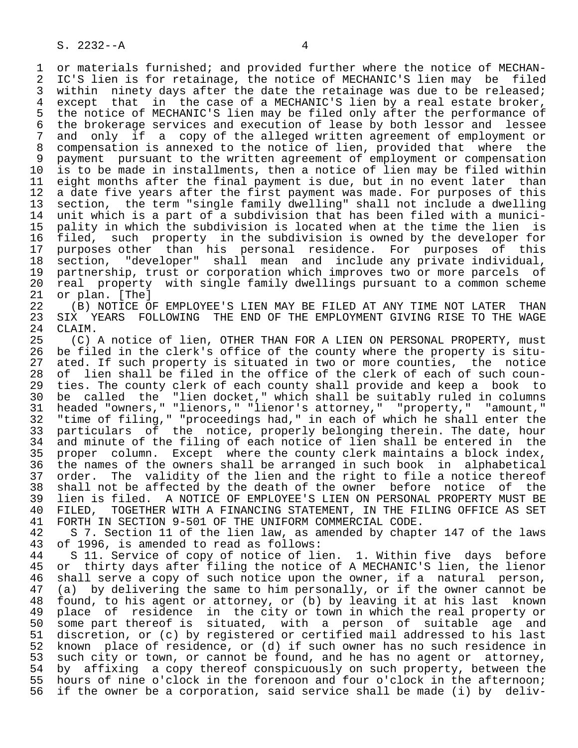1 or materials furnished; and provided further where the notice of MECHAN-<br>2 IC'S lien is for retainage, the notice of MECHANIC'S lien may be filed 2 IC'S lien is for retainage, the notice of MECHANIC'S lien may be filed<br>3 within ninety days after the date the retainage was due to be released; 3 within ninety days after the date the retainage was due to be released;<br>4 except that in the case of a MECHANIC'S lien by a real estate broker. 4 except that in the case of a MECHANIC'S lien by a real estate broker,<br>5 the notice of MECHANIC'S lien may be filed only after the performance of 5 the notice of MECHANIC'S lien may be filed only after the performance of<br>6 the brokerage services and execution of lease by both lessor and lessee 6 the brokerage services and execution of lease by both lessor and lessee<br>7 and only if a copy of the alleged written agreement of employment or 7 and only if a copy of the alleged written agreement of employment or<br>8 compensation is annexed to the notice of lien, provided that where the 8 compensation is annexed to the notice of lien, provided that where the<br>9 payment pursuant to the written agreement of employment or compensation 9 payment pursuant to the written agreement of employment or compensation<br>10 is to be made in installments, then a notice of lien may be filed within 10 is to be made in installments, then a notice of lien may be filed within<br>11 eight months after the final payment is due, but in no event later than 11 eight months after the final payment is due, but in no event later than<br>12 a date five years after the first payment was made. For purposes of this 12 a date five years after the first payment was made. For purposes of this<br>13 section, the term "single family dwelling" shall not include a dwelling 13 section, the term "single family dwelling" shall not include a dwelling unit which is a part of a subdivision that has been filed with a munici-15 pality in which the subdivision is located when at the time the lien is<br>16 filed, such property in the subdivision is owned by the developer for 16 filed, such property in the subdivision is owned by the developer for<br>17 purposes other than his personal residence. For purposes of this 17 purposes other than his personal residence. For purposes of this<br>18 section, "developer" shall mean and include any private individual, 18 section, "developer" shall mean and include any private individual,<br>19 partnership, trust or corporation which improves two or more parcels of 19 partnership, trust or corporation which improves two or more parcels of<br>20 real property with single family dwellings pursuant to a common scheme 20 real property with single family dwellings pursuant to a common scheme<br>21 or plan. [The]

21 or plan. [The]<br>22 (B) NOTICE O 22 (B) NOTICE OF EMPLOYEE'S LIEN MAY BE FILED AT ANY TIME NOT LATER THAN<br>23 SIX YEARS FOLLOWING THE END OF THE EMPLOYMENT GIVING RISE TO THE WAGE 23 SIX YEARS FOLLOWING THE END OF THE EMPLOYMENT GIVING RISE TO THE WAGE 24 CLAIM. 24 CLAIM.<br>25 (C)

(C) A notice of lien, OTHER THAN FOR A LIEN ON PERSONAL PROPERTY, must 26 be filed in the clerk's office of the county where the property is situ- 27 ated. If such property is situated in two or more counties, the notice<br>28 of lien shall be filed in the office of the clerk of each of such coun-28 of lien shall be filed in the office of the clerk of each of such coun-<br>29 ties. The county clerk of each county shall provide and keep a book to 29 ties. The county clerk of each county shall provide and keep a book to<br>30 be called the "lien docket." which shall be suitably ruled in columns 30 be called the "lien docket," which shall be suitably ruled in columns<br>31 headed "owners." "lienors." "lienor's attorney." "property." "amount." 31 headed "owners," "lienors," "lienor's attorney," "property," "amount,"<br>32 "time of filing," "proceedings had," in each of which he shall enter the 32 "time of filing," "proceedings had," in each of which he shall enter the<br>33 particulars of the notice, properly belonging therein. The date, hour 33 particulars of the notice, properly belonging therein. The date, hour<br>34 and minute of the filing of each notice of lien shall be entered in the 34 and minute of the filing of each notice of lien shall be entered in the<br>35 proper column. Except where the county clerk maintains a block index. 35 proper column. Except where the county clerk maintains a block index,<br>36 the names of the owners shall be arranged in such book in alphabetical the names of the owners shall be arranged in such book in alphabetical 37 order. The validity of the lien and the right to file a notice thereof<br>38 shall not be affected by the death of the owner before notice of the 38 shall not be affected by the death of the owner before notice of the<br>39 lien is filed. A NOTICE OF EMPLOYEE'S LIEN ON PERSONAL PROPERTY MUST BE 39 lien is filed. A NOTICE OF EMPLOYEE'S LIEN ON PERSONAL PROPERTY MUST BE<br>40 FILED, TOGETHER WITH A FINANCING STATEMENT, IN THE FILING OFFICE AS SET 40 FILED, TOGETHER WITH A FINANCING STATEMENT, IN THE FILING OFFICE AS SET<br>41 FORTH IN SECTION 9-501 OF THE UNIFORM COMMERCIAL CODE. 41 FORTH IN SECTION 9-501 OF THE UNIFORM COMMERCIAL CODE.<br>42 S 7. Section 11 of the lien law, as amended by chapt

42 S 7. Section 11 of the lien law, as amended by chapter 147 of the laws<br>43 of 1996, is amended to read as follows: 43 of 1996, is amended to read as follows:<br>44 S 11. Service of copy of notice of li

44 S 11. Service of copy of notice of lien. 1. Within five days before<br>45 or thirty days after filing the notice of A MECHANIC'S lien, the lienor 45 or thirty days after filing the notice of A MECHANIC'S lien, the lienor 46 shall serve a copy of such notice upon the owner, if a natural person,<br>47 (a) by delivering the same to him personally, or if the owner cannot be 47 (a) by delivering the same to him personally, or if the owner cannot be 48 found, to his agent or attorney, or (b) by leaving it at his last known 48 found, to his agent or attorney, or (b) by leaving it at his last known<br>49 place of residence in the city or town in which the real property or 49 place of residence in the city or town in which the real property or<br>50 some part thereof is situated, with a person of suitable age and 50 some part thereof is situated, with a person of suitable age and<br>51 discretion, or (c) by registered or certified mail addressed to his last 51 discretion, or (c) by registered or certified mail addressed to his last<br>52 known place of residence, or (d) if such owner has no such residence in 52 known place of residence, or (d) if such owner has no such residence in 53 such city or town, or cannot be found, and he has no agent or attorney. 53 such city or town, or cannot be found, and he has no agent or attorney,<br>54 by affixing a copy thereof conspicuously on such property, between the 54 by affixing a copy thereof conspicuously on such property, between the<br>55 hours of nine o'clock in the forenoon and four o'clock in the afternoon; 55 hours of nine o'clock in the forenoon and four o'clock in the afternoon;<br>56 if the owner be a corporation, said service shall be made (i) by delivif the owner be a corporation, said service shall be made (i) by deliv-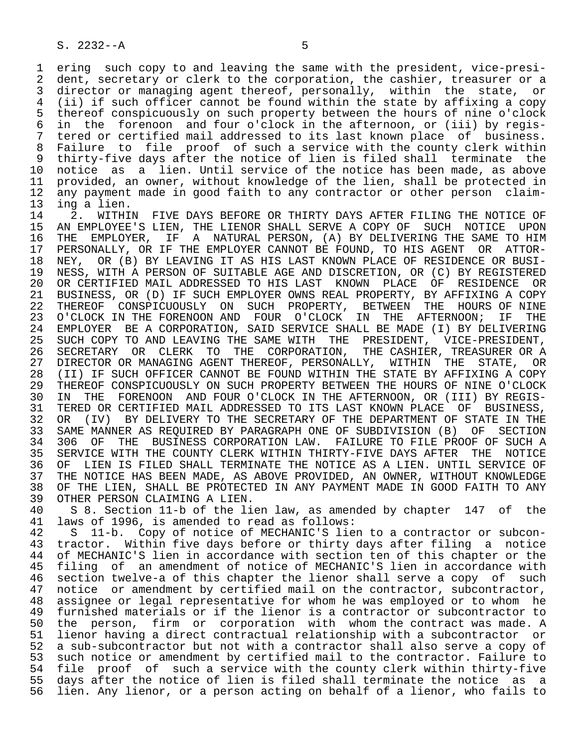1 ering such copy to and leaving the same with the president, vice-presi-<br>2 dent, secretary or clerk to the corporation, the cashier, treasurer or a 2 dent, secretary or clerk to the corporation, the cashier, treasurer or a<br>3 director or managing agent thereof, personally, within the state, or director or managing agent thereof, personally, within the state, or 4 (ii) if such officer cannot be found within the state by affixing a copy<br>5 thereof conspicuously on such property between the hours of nine o'clock 5 thereof conspicuously on such property between the hours of nine o'clock<br>6 in the forenoon and four o'clock in the afternoon, or (iii) by regis- 6 in the forenoon and four o'clock in the afternoon, or (iii) by regis- 7 tered or certified mail addressed to its last known place of business. 8 Failure to file proof of such a service with the county clerk within<br>9 thirty-five days after the notice of lien is filed shall terminate the 9 thirty-five days after the notice of lien is filed shall terminate the<br>10 notice as a lien. Until service of the notice has been made, as above 10 notice as a lien. Until service of the notice has been made, as above<br>11 provided, an owner, without knowledge of the lien, shall be protected in 11 provided, an owner, without knowledge of the lien, shall be protected in<br>12 any payment made in good faith to any contractor or other person claim-12 any payment made in good faith to any contractor or other person claim-<br>13 ing a lien.

13 ing a lien.<br>14 2. WITHI 2. WITHIN FIVE DAYS BEFORE OR THIRTY DAYS AFTER FILING THE NOTICE OF 15 AN EMPLOYEE'S LIEN, THE LIENOR SHALL SERVE A COPY OF SUCH NOTICE UPON<br>16 THE EMPLOYER, IF A NATURAL PERSON, (A) BY DELIVERING THE SAME TO HIM 16 THE EMPLOYER, IF A NATURAL PERSON, (A) BY DELIVERING THE SAME TO HIM<br>17 PERSONALLY, OR IF THE EMPLOYER CANNOT BE FOUND, TO HIS AGENT OR ATTOR-17 PERSONALLY, OR IF THE EMPLOYER CANNOT BE FOUND, TO HIS AGENT OR ATTOR-<br>18 NEY, OR (B) BY LEAVING IT AS HIS LAST KNOWN PLACE OF RESIDENCE OR BUSI-18 NEY, OR (B) BY LEAVING IT AS HIS LAST KNOWN PLACE OF RESIDENCE OR BUSI-<br>19 NESS, WITH A PERSON OF SUITABLE AGE AND DISCRETION, OR (C) BY REGISTERED 19 NESS, WITH A PERSON OF SUITABLE AGE AND DISCRETION, OR (C) BY REGISTERED 20 OR CERTIFIED MAIL ADDRESSED TO HIS LAST KNOWN PLACE OF RESIDENCE OR<br>21 BUSINESS, OR (D) IF SUCH EMPLOYER OWNS REAL PROPERTY, BY AFFIXING A COPY 21 BUSINESS, OR (D) IF SUCH EMPLOYER OWNS REAL PROPERTY, BY AFFIXING A COPY<br>22 THEREOF CONSPICUOUSLY ON SUCH PROPERTY, BETWEEN THE HOURS OF NINE 22 THEREOF CONSPICUOUSLY ON SUCH PROPERTY, BETWEEN THE HOURS OF NINE<br>23 O'CLOCK IN THE FORENOON AND FOUR O'CLOCK IN THE AFTERNOON; IF THE 23 O'CLOCK IN THE FORENOON AND FOUR O'CLOCK IN THE AFTERNOON; IF THE 24 EMPLOYER BE A CORPORATION, SAID SERVICE SHALL BE MADE (I) BY DELIVERING<br>25 SUCH COPY TO AND LEAVING THE SAME WITH THE PRESIDENT. VICE-PRESIDENT. 25 SUCH COPY TO AND LEAVING THE SAME WITH THE PRESIDENT, VICE-PRESIDENT, 26 SECRETARY OR CLERK TO THE CORPORATION, THE CASHIER, TREASURER OR A<br>27 DIRECTOR OR MANAGING AGENT THEREOF, PERSONALLY, WITHIN THE STATE, OR 27 DIRECTOR OR MANAGING AGENT THEREOF, PERSONALLY, WITHIN THE STATE, OR<br>28 (II) IF SUCH OFFICER CANNOT BE FOUND WITHIN THE STATE BY AFFIXING A COPY 28 (II) IF SUCH OFFICER CANNOT BE FOUND WITHIN THE STATE BY AFFIXING A COPY<br>29 THEREOF CONSPICUOUSLY ON SUCH PROPERTY BETWEEN THE HOURS OF NINE O'CLOCK 29 THEREOF CONSPICUOUSLY ON SUCH PROPERTY BETWEEN THE HOURS OF NINE O'CLOCK<br>30 IN THE FORENOON AND FOUR O'CLOCK IN THE AFTERNOON, OR (III) BY REGIS-30 IN THE FORENOON AND FOUR O'CLOCK IN THE AFTERNOON, OR (III) BY REGIS-<br>31 TERED OR CERTIFIED MAIL ADDRESSED TO ITS LAST KNOWN PLACE OF BUSINESS. 31 TERED OR CERTIFIED MAIL ADDRESSED TO ITS LAST KNOWN PLACE OF BUSINESS,<br>32 OR (IV) BY DELIVERY TO THE SECRETARY OF THE DEPARTMENT OF STATE IN THE 32 OR (IV) BY DELIVERY TO THE SECRETARY OF THE DEPARTMENT OF STATE IN THE 33 SAME MANNER AS REOUIRED BY PARAGRAPH ONE OF SUBDIVISION (B) OF SECTION 33 SAME MANNER AS REQUIRED BY PARAGRAPH ONE OF SUBDIVISION (B) OF SECTION<br>34 306 OF THE BUSINESS CORPORATION LAW. FAILURE TO FILE PROOF OF SUCH A 34 306 OF THE BUSINESS CORPORATION LAW. FAILURE TO FILE PROOF OF SUCH A<br>35 SERVICE WITH THE COUNTY CLERK WITHIN THIRTY-FIVE DAYS AFTER THE NOTICE 35 SERVICE WITH THE COUNTY CLERK WITHIN THIRTY-FIVE DAYS AFTER THE NOTICE<br>36 OF LIEN IS FILED SHALL TERMINATE THE NOTICE AS A LIEN. UNTIL SERVICE OF OF LIEN IS FILED SHALL TERMINATE THE NOTICE AS A LIEN. UNTIL SERVICE OF 37 THE NOTICE HAS BEEN MADE, AS ABOVE PROVIDED, AN OWNER, WITHOUT KNOWLEDGE<br>38 OF THE LIEN, SHALL BE PROTECTED IN ANY PAYMENT MADE IN GOOD FAITH TO ANY 38 OF THE LIEN, SHALL BE PROTECTED IN ANY PAYMENT MADE IN GOOD FAITH TO ANY SANGLET OF ANY SANGLET AND SERIES OF THE PERSON CLAIMING A LIEN. 39 OTHER PERSON CLAIMING A LIEN.<br>40 S 8. Section 11-b of the li

 40 S 8. Section 11-b of the lien law, as amended by chapter 147 of the 41 laws of 1996, is amended to read as follows:

42 S 11-b. Copy of notice of MECHANIC'S lien to a contractor or subcon-<br>43 tractor. Within five days before or thirty days after filing a notice 43 tractor. Within five days before or thirty days after filing a notice<br>44 of MECHANIC'S lien in accordance with section ten of this chapter or the 44 of MECHANIC'S lien in accordance with section ten of this chapter or the<br>45 filing of an amendment of notice of MECHANIC'S lien in accordance with 45 filing of an amendment of notice of MECHANIC'S lien in accordance with 46 section twelve-a of this chapter the lienor shall serve a copy of such<br>47 notice or amendment by certified mail on the contractor, subcontractor, 47 notice or amendment by certified mail on the contractor, subcontractor, 48 assignee or legal representative for whom he was employed or to whom he<br>49 furnished materials or if the lienor is a contractor or subcontractor to 49 furnished materials or if the lienor is a contractor or subcontractor to<br>50 the person, firm or corporation with whom the contract was made. A 50 the person, firm or corporation with whom the contract was made. A<br>51 lienor having a direct contractual relationship with a subcontractor or 1ienor having a direct contractual relationship with a subcontractor or 52 a sub-subcontractor but not with a contractor shall also serve a copy of<br>53 such notice or amendment by certified mail to the contractor. Failure to 53 such notice or amendment by certified mail to the contractor. Failure to<br>54 file proof of such a service with the county clerk within thirty-five file proof of such a service with the county clerk within thirty-five 55 days after the notice of lien is filed shall terminate the notice as a<br>56 lien. Any lienor, or a person acting on behalf of a lienor, who fails to lien. Any lienor, or a person acting on behalf of a lienor, who fails to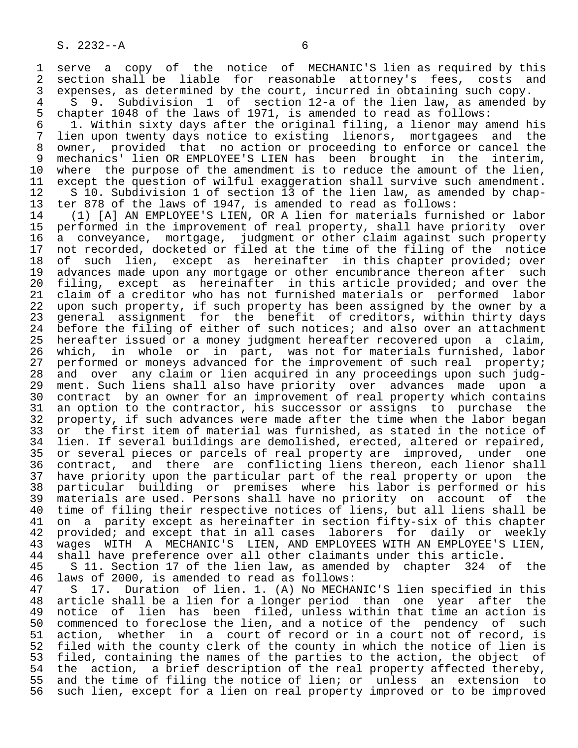1 serve a copy of the notice of MECHANIC'S lien as required by this<br>2 section shall be liable for reasonable attorney's fees, costs and 2 section shall be liable for reasonable attorney's fees, costs and<br>3 expenses, as determined by the court, incurred in obtaining such copy. 3 expenses, as determined by the court, incurred in obtaining such copy.<br>4 S 9. Subdivision 1 of section 12-a of the lien law, as amended

4 S 9. Subdivision 1 of section 12-a of the lien law, as amended by<br>5 chapter 1048 of the laws of 1971, is amended to read as follows: 5 chapter 1048 of the laws of 1971, is amended to read as follows:<br>6 1. Within sixty days after the original filing, a lienor may a 6 1. Within sixty days after the original filing, a lienor may amend his 7 lien upon twenty days notice to existing lienors, mortgagees and the<br>8 owner, provided that no action or proceeding to enforce or cancel the 8 owner, provided that no action or proceeding to enforce or cancel the<br>9 mechanics' lien OR EMPLOYEE'S LIEN has been brought in the interim. 9 mechanics' lien OR EMPLOYEE'S LIEN has been brought in the interim,<br>10 where the purpose of the amendment is to reduce the amount of the lien. 10 where the purpose of the amendment is to reduce the amount of the lien,<br>11 except the question of wilful exaggeration shall survive such amendment. 11 except the question of wilful exaggeration shall survive such amendment.<br>12 S 10. Subdivision 1 of section 13 of the lien law, as amended by chap-

12 S 10. Subdivision 1 of section 13 of the lien law, as amended by chap-<br>13 ter 878 of the laws of 1947, is amended to read as follows:

13 ter 878 of the laws of 1947, is amended to read as follows:<br>14 (1) [A] AN EMPLOYEE'S LIEN, OR A lien for materials furni 14 (1) [A] AN EMPLOYEE'S LIEN, OR A lien for materials furnished or labor 15 performed in the improvement of real property, shall have priority over 16 a conveyance, mortgage, judgment or other claim against such property<br>17 not recorded, docketed or filed at the time of the filing of the notice 17 not recorded, docketed or filed at the time of the filing of the notice<br>18 of such lien, except as hereinafter in this chapter provided; over 18 of such lien, except as hereinafter in this chapter provided; over<br>19 advances made upon any mortgage or other encumbrance thereon after such 19 advances made upon any mortgage or other encumbrance thereon after such<br>20 filing, except as hereinafter in this article provided; and over the 20 filing, except as hereinafter in this article provided; and over the<br>21 claim of a creditor who has not furnished materials or performed labor 21 claim of a creditor who has not furnished materials or performed labor<br>22 upon such property, if such property has been assigned by the owner by a 22 upon such property, if such property has been assigned by the owner by a<br>23 general assignment for the benefit of creditors, within thirty days 23 general assignment for the benefit of creditors, within thirty days<br>24 before the filing of either of such notices; and also over an attachment 24 before the filing of either of such notices; and also over an attachment<br>25 hereafter issued or a money judgment hereafter recovered upon a claim, hereafter issued or a money judgment hereafter recovered upon a claim, 26 which, in whole or in part, was not for materials furnished, labor<br>27 performed or moneys advanced for the improvement of such real property; 27 performed or moneys advanced for the improvement of such real property;<br>28 and over any claim or lien acquired in any proceedings upon such judg- 28 and over any claim or lien acquired in any proceedings upon such judg- 29 ment. Such liens shall also have priority over advances made upon a<br>30 contract by an owner for an improvement of real property which contains 30 contract by an owner for an improvement of real property which contains<br>31 an option to the contractor, his successor or assigns to purchase the 31 an option to the contractor, his successor or assigns to purchase the<br>32 property, if such advances were made after the time when the labor began 32 property, if such advances were made after the time when the labor began<br>33 or the first item of material was furnished, as stated in the notice of 33 or the first item of material was furnished, as stated in the notice of<br>34 lien. If several buildings are demolished, erected, altered or repaired, 34 lien. If several buildings are demolished, erected, altered or repaired,<br>35 or several pieces or parcels of real property are improved, under one 35 or several pieces or parcels of real property are improved, under one<br>36 contract, and there are conflicting liens thereon, each lienor shall contract, and there are conflicting liens thereon, each lienor shall 37 have priority upon the particular part of the real property or upon the<br>38 particular building or premises where his labor is performed or his 38 particular building or premises where his labor is performed or his 39 materials are used. Persons shall have no priority on account of the<br>40 time of filing their respective notices of liens, but all liens shall be 40 time of filing their respective notices of liens, but all liens shall be<br>41 on a parity except as hereinafter in section fifty-six of this chapter 41 on a parity except as hereinafter in section fifty-six of this chapter<br>42 provided; and except that in all cases laborers for daily or weekly 42 provided; and except that in all cases laborers for daily or weekly<br>43 wages WITH A MECHANIC'S LIEN, AND EMPLOYEES WITH AN EMPLOYEE'S LIEN, 43 wages WITH A MECHANIC'S LIEN, AND EMPLOYEES WITH AN EMPLOYEE'S LIEN,<br>44 shall have preference over all other claimants under this article.

44 shall have preference over all other claimants under this article.<br>45 S 11. Section 17 of the lien law, as amended by chapter 324 o 45 S 11. Section 17 of the lien law, as amended by chapter 324 of the 46 laws of 2000, is amended to read as follows: 46 laws of 2000, is amended to read as follows:

 47 S 17. Duration of lien. 1. (A) No MECHANIC'S lien specified in this 48 article shall be a lien for a longer period than one year after the 49 notice of lien has been filed, unless within that time an action is<br>50 commenced to foreclose the lien, and a notice of the pendency of such 50 commenced to foreclose the lien, and a notice of the pendency of such<br>51 action, whether in a court of record or in a court not of record, is 51 action, whether in a court of record or in a court not of record, is<br>52 filed with the county clerk of the county in which the notice of lien is 52 filed with the county clerk of the county in which the notice of lien is<br>53 filed, containing the names of the parties to the action, the object of 53 filed, containing the names of the parties to the action, the object of<br>54 the action, a brief description of the real property affected thereby, 54 the action, a brief description of the real property affected thereby,<br>55 and the time of filing the notice of lien; or unless an extension to 55 and the time of filing the notice of lien; or unless an extension to<br>56 such lien, except for a lien on real property improved or to be improved such lien, except for a lien on real property improved or to be improved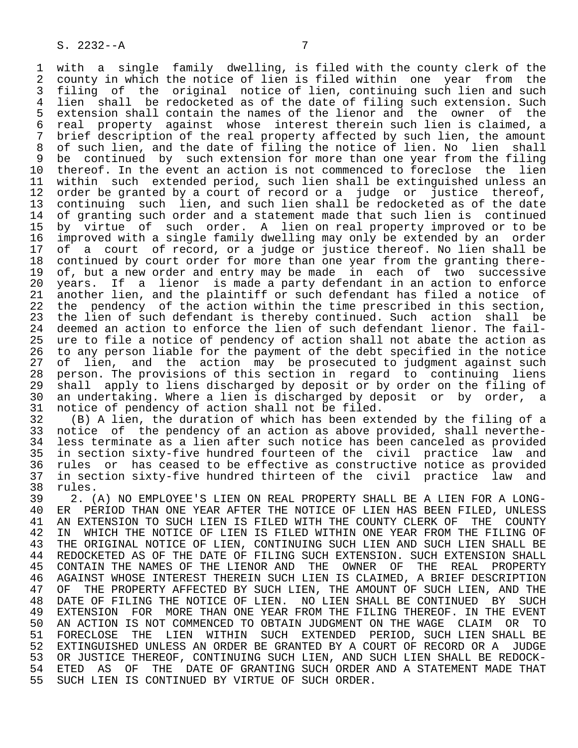1 with a single family dwelling, is filed with the county clerk of the<br>2 county in which the notice of lien is filed within one year from the 2 county in which the notice of lien is filed within one year from the<br>3 filing of the original notice of lien, continuing such lien and such 3 filing of the original notice of lien, continuing such lien and such 4 lien shall be redocketed as of the date of filing such extension. Such<br>5 extension shall contain the names of the lienor and the owner of the 5 extension shall contain the names of the lienor and the owner of the<br>6 real property against whose interest therein such lien is claimed, a 6 real property against whose interest therein such lien is claimed, a<br>7 brief description of the real property affected by such lien, the amount brief description of the real property affected by such lien, the amount 8 of such lien, and the date of filing the notice of lien. No lien shall<br>9 be continued by such extension for more than one year from the filing 9 be continued by such extension for more than one year from the filing<br>10 thereof. In the event an action is not commenced to foreclose the lien 10 thereof. In the event an action is not commenced to foreclose the lien<br>11 within such extended period, such lien shall be extinguished unless an 11 within such extended period, such lien shall be extinguished unless an<br>12 order be granted by a court of record or a judge or justice thereof, 12 order be granted by a court of record or a judge or justice thereof, 13 continuing such lien, and such lien shall be redocketed as of the date 14 of granting such order and a statement made that such lien is continued 15 by virtue of such order. A lien on real property improved or to be 16 improved with a single family dwelling may only be extended by an order<br>17 of a court of record, or a judge or justice thereof. No lien shall be 17 of a court of record, or a judge or justice thereof. No lien shall be<br>18 continued by court order for more than one year from the granting there-18 continued by court order for more than one year from the granting there-<br>19 of, but a new order and entry may be made in each of two successive 19 of, but a new order and entry may be made in each of two successive<br>20 years. If a lienor is made a party defendant in an action to enforce 20 years. If a lienor is made a party defendant in an action to enforce<br>21 another lien, and the plaintiff or such defendant has filed a notice of 21 another lien, and the plaintiff or such defendant has filed a notice of<br>22 the pendency of the action within the time prescribed in this section, 22 the pendency of the action within the time prescribed in this section,<br>23 the lien of such defendant is thereby continued. Such action shall be 23 the lien of such defendant is thereby continued. Such action shall be<br>24 deemed an action to enforce the lien of such defendant lienor. The fail-24 deemed an action to enforce the lien of such defendant lienor. The fail-<br>25 ure to file a notice of pendency of action shall not abate the action as ure to file a notice of pendency of action shall not abate the action as 26 to any person liable for the payment of the debt specified in the notice<br>27 of lien, and the action may be prosecuted to judgment against such 27 of lien, and the action may be prosecuted to judgment against such<br>28 person. The provisions of this section in regard to continuing liens 28 person. The provisions of this section in regard to continuing liens<br>29 shall apply to liens discharged by deposit or by order on the filing of 29 shall apply to liens discharged by deposit or by order on the filing of<br>20 an undertaking. Where a lien is discharged by deposit or by order, a 30 an undertaking. Where a lien is discharged by deposit or by order, a<br>31 notice of pendency of action shall not be filed. 31 notice of pendency of action shall not be filed.<br>32 (B) A lien, the duration of which has been ext

32 (B) A lien, the duration of which has been extended by the filing of a<br>33 notice of the pendency of an action as above provided, shall neverthe-33 notice of the pendency of an action as above provided, shall neverthe-<br>34 less terminate as a lien after such notice has been canceled as provided 34 less terminate as a lien after such notice has been canceled as provided<br>35 in section sixty-five hundred fourteen of the civil practice law and 35 in section sixty-five hundred fourteen of the civil practice law and<br>36 rules or has ceased to be effective as constructive notice as provided rules or has ceased to be effective as constructive notice as provided 37 in section sixty-five hundred thirteen of the civil practice law and 38 rules.<br>39 2. (

 39 2. (A) NO EMPLOYEE'S LIEN ON REAL PROPERTY SHALL BE A LIEN FOR A LONG- 40 ER PERIOD THAN ONE YEAR AFTER THE NOTICE OF LIEN HAS BEEN FILED, UNLESS<br>41 AN EXTENSION TO SUCH LIEN IS FILED WITH THE COUNTY CLERK OF THE COUNTY 41 AN EXTENSION TO SUCH LIEN IS FILED WITH THE COUNTY CLERK OF THE COUNTY<br>42 IN WHICH THE NOTICE OF LIEN IS FILED WITHIN ONE YEAR FROM THE FILING OF 42 IN WHICH THE NOTICE OF LIEN IS FILED WITHIN ONE YEAR FROM THE FILING OF<br>43 THE ORIGINAL NOTICE OF LIEN, CONTINUING SUCH LIEN AND SUCH LIEN SHALL BE 43 THE ORIGINAL NOTICE OF LIEN, CONTINUING SUCH LIEN AND SUCH LIEN SHALL BE<br>44 REDOCKETED AS OF THE DATE OF FILING SUCH EXTENSION. SUCH EXTENSION SHALL 44 REDOCKETED AS OF THE DATE OF FILING SUCH EXTENSION. SUCH EXTENSION SHALL<br>45 CONTAIN THE NAMES OF THE LIENOR AND THE OWNER OF THE REAL PROPERTY 45 CONTAIN THE NAMES OF THE LIENOR AND THE OWNER OF THE REAL PROPERTY 46 AGAINST WHOSE INTEREST THEREIN SUCH LIEN IS CLAIMED, A BRIEF DESCRIPTION<br>47 OF THE PROPERTY AFFECTED BY SUCH LIEN, THE AMOUNT OF SUCH LIEN, AND THE 47 OF THE PROPERTY AFFECTED BY SUCH LIEN, THE AMOUNT OF SUCH LIEN, AND THE 48 DATE OF FILING THE NOTICE OF LIEN. NO LIEN SHALL BE CONTINUED BY SUCH 48 DATE OF FILING THE NOTICE OF LIEN. NO LIEN SHALL BE CONTINUED BY SUCH<br>49 EXTENSION FOR MORE THAN ONE YEAR FROM THE FILING THEREOF. IN THE EVENT 49 EXTENSION FOR MORE THAN ONE YEAR FROM THE FILING THEREOF. IN THE EVENT<br>50 AN ACTION IS NOT COMMENCED TO OBTAIN JUDGMENT ON THE WAGE CLAIM OR TO 50 AN ACTION IS NOT COMMENCED TO OBTAIN JUDGMENT ON THE WAGE CLAIM OR TO<br>51 FORECLOSE THE LIEN WITHIN SUCH EXTENDED PERIOD, SUCH LIEN SHALL BE 51 FORECLOSE THE LIEN WITHIN SUCH EXTENDED PERIOD, SUCH LIEN SHALL BE<br>52 EXTINGUISHED UNLESS AN ORDER BE GRANTED BY A COURT OF RECORD OR A JUDGE 52 EXTINGUISHED UNLESS AN ORDER BE GRANTED BY A COURT OF RECORD OR A JUDGE<br>53 OR JUSTICE THEREOF, CONTINUING SUCH LIEN, AND SUCH LIEN SHALL BE REDOCK-53 OR JUSTICE THEREOF, CONTINUING SUCH LIEN, AND SUCH LIEN SHALL BE REDOCK-<br>54 ETED AS OF THE DATE OF GRANTING SUCH ORDER AND A STATEMENT MADE THAT 54 ETED AS OF THE DATE OF GRANTING SUCH ORDER AND A STATEMENT MADE THAT<br>55 SUCH LIEN IS CONTINUED BY VIRTUE OF SUCH ORDER. SUCH LIEN IS CONTINUED BY VIRTUE OF SUCH ORDER.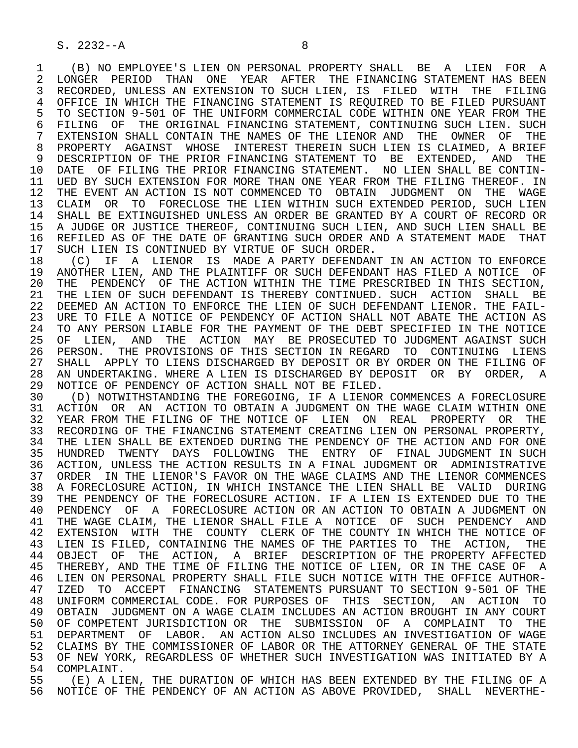1 (B) NO EMPLOYEE'S LIEN ON PERSONAL PROPERTY SHALL BE A LIEN FOR A 2 LONGER PERIOD THAN ONE YEAR AFTER THE FINANCING STATEMENT HAS BEEN<br>3 RECORDED, UNLESS AN EXTENSION TO SUCH LIEN, IS FILED WITH THE FILING RECORDED, UNLESS AN EXTENSION TO SUCH LIEN, IS FILED WITH THE FILING 4 OFFICE IN WHICH THE FINANCING STATEMENT IS REQUIRED TO BE FILED PURSUANT<br>5 TO SECTION 9-501 OF THE UNIFORM COMMERCIAL CODE WITHIN ONE YEAR FROM THE 5 TO SECTION 9-501 OF THE UNIFORM COMMERCIAL CODE WITHIN ONE YEAR FROM THE 51 ORIGINAL FINANCING STATEMENT. CONTINUING SUCH LIEN. SUCH 6 FILING OF THE ORIGINAL FINANCING STATEMENT, CONTINUING SUCH LIEN. SUCH<br>7 EXTENSION SHALL CONTAIN THE NAMES OF THE LIENOR AND THE OWNER OF THE 7 EXTENSION SHALL CONTAIN THE NAMES OF THE LIENOR AND THE OWNER OF THE 8 PROPERTY AGAINST WHOSE INTEREST-THEREIN-SUCH-LIEN-IS-CLAIMED, A-BRIEF (1999) 8- 19 AGAINST WHOSE INTERET THE<br>19 DESCRIPTION OF THE PRIOR FINANCING-STATEMENT-TO-BE EXTENDED, AND THE 9 DESCRIPTION OF THE PRIOR FINANCING STATEMENT TO BE EXTENDED, AND THE 10 DATE OF FILING THE PRIOR FINANCING STATEMENT. NO LIEN SHALL BE CONTIN-<br>11 UED BY SUCH EXTENSION FOR MORE THAN ONE YEAR FROM THE FILING THEREOF. IN 11 UED BY SUCH EXTENSION FOR MORE THAN ONE YEAR FROM THE FILING THEREOF. IN<br>12 THE EVENT AN ACTION IS NOT COMMENCED TO OBTAIN JUDGMENT ON THE WAGE 12 THE EVENT AN ACTION IS NOT COMMENCED TO OBTAIN JUDGMENT ON THE WAGE<br>13 CLAIM OR TO FORECLOSE THE LIEN WITHIN SUCH EXTENDED PERIOD, SUCH LIEN 13 CLAIM OR TO FORECLOSE THE LIEN WITHIN SUCH EXTENDED PERIOD, SUCH LIEN<br>14 SHALL BE EXTINGUISHED UNLESS AN ORDER BE GRANTED BY A COURT OF RECORD OR 14 SHALL BE EXTINGUISHED UNLESS AN ORDER BE GRANTED BY A COURT OF RECORD OR 15 A JUDGE OR JUSTICE THEREOF, CONTINUING SUCH LIEN, AND SUCH LIEN SHALL BE 16 REFILED AS OF THE DATE OF GRANTING SUCH ORDER AND A STATEMENT MADE THAT<br>17 SUCH LIEN IS CONTINUED BY VIRTUE OF SUCH ORDER. 17 SUCH LIEN IS CONTINUED BY VIRTUE OF SUCH ORDER.<br>18 (C) IF A LIENOR IS MADE A PARTY DEFENDANT

 18 (C) IF A LIENOR IS MADE A PARTY DEFENDANT IN AN ACTION TO ENFORCE 19 ANOTHER LIEN, AND THE PLAINTIFF OR SUCH DEFENDANT HAS FILED A NOTICE OF<br>20 THE PENDENCY OF THE ACTION WITHIN THE TIME PRESCRIBED IN THIS SECTION. THE PENDENCY OF THE ACTION WITHIN THE TIME PRESCRIBED IN THIS SECTION, 21 THE LIEN OF SUCH DEFENDANT IS THEREBY CONTINUED. SUCH ACTION SHALL BE 22 DEEMED AN ACTION TO ENFORCE THE LIEN OF SUCH DEFENDANT LIENOR. THE FAIL- 23 URE TO FILE A NOTICE OF PENDENCY OF ACTION SHALL NOT ABATE THE ACTION AS 24 TO ANY PERSON LIABLE FOR THE PAYMENT OF THE DEBT SPECIFIED IN THE NOTICE<br>25 OF LIEN, AND THE ACTION MAY BE PROSECUTED TO JUDGMENT AGAINST SUCH 25 OF LIEN, AND THE ACTION MAY BE PROSECUTED TO JUDGMENT AGAINST SUCH 26 PERSON. THE PROVISIONS OF THIS SECTION IN REGARD TO CONTINUING LIENS<br>27 SHALL APPLY TO LIENS DISCHARGED BY DEPOSIT OR BY ORDER ON THE FILING OF 27 SHALL APPLY TO LIENS DISCHARGED BY DEPOSIT OR BY ORDER ON THE FILING OF<br>28 AN UNDERTAKING. WHERE A LIEN IS DISCHARGED BY DEPOSIT OR BY ORDER. A 28 AN UNDERTAKING. WHERE A LIEN IS DISCHARGED BY DEPOSIT OR BY ORDER, A<br>29 NOTICE OF PENDENCY OF ACTION SHALL NOT BE FILED. 29 NOTICE OF PENDENCY OF ACTION SHALL NOT BE FILED.<br>30 (D) NOTWITHSTANDING THE FOREGOING, IF A LIENOR

30 (D) NOTWITHSTANDING THE FOREGOING, IF A LIENOR COMMENCES A FORECLOSURE<br>31 ACTION OR AN ACTION TO OBTAIN A JUDGMENT ON THE WAGE CLAIM WITHIN ONE 31 ACTION OR AN ACTION TO OBTAIN A JUDGMENT ON THE WAGE CLAIM WITHIN ONE<br>32 YEAR FROM THE FILING OF THE NOTICE OF LIEN ON REAL PROPERTY OR THE 32 YEAR FROM THE FILING OF THE NOTICE OF LIEN ON REAL PROPERTY OR THE THE STANDING OF THE FINANCING STATEMENT CREATING LIEN ON PERSONAL PROPERTY. RECORDING OF THE FINANCING STATEMENT CREATING LIEN ON PERSONAL PROPERTY, 34 THE LIEN SHALL BE EXTENDED DURING THE PENDENCY OF THE ACTION AND FOR ONE 35 HUNDRED TWENTY DAYS FOLLOWING THE ENTRY OF FINAL JUDGMENT IN SUCH 36 ACTION, UNLESS THE ACTION RESULTS IN A FINAL JUDGMENT OR ADMINISTRATIVE 37 ORDER IN THE LIENOR'S FAVOR ON THE WAGE CLAIMS AND THE LIENOR COMMENCES 38 A FORECLOSURE ACTION, IN WHICH INSTANCE THE LIEN SHALL BE VALID DURING 39 THE PENDENCY OF THE FORECLOSURE ACTION. IF A LIEN IS EXTENDED DUE TO THE 40 PENDENCY OF A FORECLOSURE ACTION OR AN ACTION TO OBTAIN A JUDGMENT ON 41 THE WAGE CLAIM, THE LIENOR SHALL FILE A NOTICE OF SUCH PENDENCY AND 42 EXTENSION WITH THE COUNTY CLERK OF THE COUNTY IN WHICH THE NOTICE OF 43 LIEN IS FILED, CONTAINING THE NAMES OF THE PARTIES TO THE ACTION, THE 44 OBJECT OF THE ACTION, A BRIEF DESCRIPTION OF THE PROPERTY AFFECTED<br>45 THEREBY, AND THE TIME OF FILING THE NOTICE OF LIEN, OR IN THE CASE OF A THEREBY, AND THE TIME OF FILING THE NOTICE OF LIEN, OR IN THE CASE OF A 46 LIEN ON PERSONAL PROPERTY SHALL FILE SUCH NOTICE WITH THE OFFICE AUTHOR-<br>47 TZED TO ACCEPT FINANCING STATEMENTS PURSUANT TO SECTION 9-501 OF THE 47 IZED TO ACCEPT FINANCING STATEMENTS PURSUANT TO SECTION 9-501 OF THE<br>48 UNIFORM COMMERCIAL CODE, FOR PURPOSES OF THIS SECTION, AN ACTION TO 48 UNIFORM COMMERCIAL CODE. FOR PURPOSES OF THIS SECTION, AN ACTION TO 49 OBTAIN JUDGMENT ON A WAGE CLAIM INCLUDES AN ACTION BROUGHT IN ANY COURT 50 OF COMPETENT JURISDICTION OR THE SUBMISSION OF A COMPLAINT TO THE 51 DEPARTMENT OF LABOR. AN ACTION ALSO INCLUDES AN INVESTIGATION OF WAGE 52 CLAIMS BY THE COMMISSIONER OF LABOR OR THE ATTORNEY GENERAL OF THE STATE 53 OF NEW YORK, REGARDLESS OF WHETHER SUCH INVESTIGATION WAS INITIATED BY A 54 COMPLAINT. 54 COMPLAINT.<br>55 (E) A LI

 55 (E) A LIEN, THE DURATION OF WHICH HAS BEEN EXTENDED BY THE FILING OF A 56 NOTICE OF THE PENDENCY OF AN ACTION AS ABOVE PROVIDED, SHALL NEVERTHE-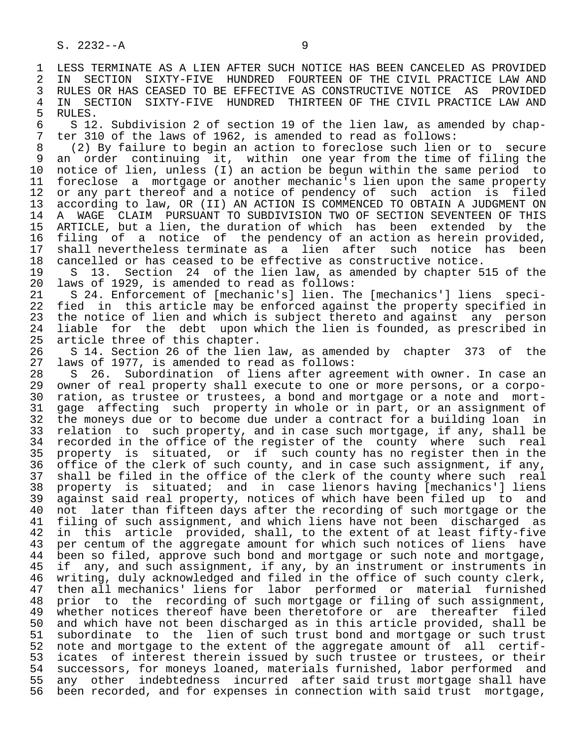1 LESS TERMINATE AS A LIEN AFTER SUCH NOTICE HAS BEEN CANCELED AS PROVIDED<br>2 IN SECTION SIXTY-FIVE HUNDRED FOURTEEN OF THE CIVIL PRACTICE LAW AND 2 IN SECTION SIXTY-FIVE HUNDRED FOURTEEN OF THE CIVIL PRACTICE LAW AND<br>3 RULES OR HAS CEASED TO BE EFFECTIVE AS CONSTRUCTIVE NOTICE AS PROVIDED 3 RULES OR HAS CEASED TO BE EFFECTIVE AS CONSTRUCTIVE NOTICE AS PROVIDED<br>4 IN SECTION SIXTY-FIVE HUNDRED THIRTEEN OF THE CIVIL PRACTICE LAW AND 4 IN SECTION SIXTY-FIVE HUNDRED THIRTEEN OF THE CIVIL PRACTICE LAW AND

5 RULES.<br>6 S 12 6 S 12. Subdivision 2 of section 19 of the lien law, as amended by chap-<br>7 ter 310 of the laws of 1962, is amended to read as follows: 7 ter 310 of the laws of 1962, is amended to read as follows:<br>8 (2) By failure to begin an action to foreclose such lien

 8 (2) By failure to begin an action to foreclose such lien or to secure 9 an order continuing it, within one year from the time of filing the<br>10 notice of lien, unless (I) an action be begun within the same period to 10 notice of lien, unless (I) an action be begun within the same period to<br>11 foreclose a mortgage or another mechanic's lien upon the same property 11 foreclose a mortgage or another mechanic's lien upon the same property<br>12 or any part thereof and a notice of pendency of such action is filed 12 or any part thereof and a notice of pendency of such action is filed 13 according to law, OR (II) AN ACTION IS COMMENCED TO OBTAIN A JUDGMENT ON 14 A WAGE CLAIM PURSUANT TO SUBDIVISION TWO OF SECTION SEVENTEEN OF THIS 15 ARTICLE, but a lien, the duration of which has been extended by the 16 filing of a notice of the pendency of an action as herein provided,<br>17 shall nevertheless terminate as a lien after such notice has been 17 shall nevertheless terminate as a lien after such notice has been<br>18 cancelled or has ceased to be effective as constructive notice.

18 cancelled or has ceased to be effective as constructive notice.<br>19 S 13. Section 24 of the lien law, as amended by chapter 5 19 S 13. Section 24 of the lien law, as amended by chapter 515 of the 20 laws of 1929, is amended to read as follows: 20 laws of 1929, is amended to read as follows:

 21 S 24. Enforcement of [mechanic's] lien. The [mechanics'] liens speci- 22 fied in this article may be enforced against the property specified in<br>23 the notice of lien and which is subject thereto and against any person 23 the notice of lien and which is subject thereto and against any person<br>24 liable for the debt upon which the lien is founded, as prescribed in 24 liable for the debt upon which the lien is founded, as prescribed in<br>25 article three of this chapter. article three of this chapter.

26 S 14. Section 26 of the lien law, as amended by chapter 373 of the 27 laws of 1977, is amended to read as follows: 27 laws of 1977, is amended to read as follows:<br>28 S 26. Subordination of liens after agre

28 S 26. Subordination of liens after agreement with owner. In case an<br>29 owner of real property shall execute to one or more persons, or a corpo-29 owner of real property shall execute to one or more persons, or a corpo-<br>30 ration, as trustee or trustees, a bond and mortgage or a note and mort-30 ration, as trustee or trustees, a bond and mortgage or a note and mort-<br>31 gage affecting such property in whole or in part, or an assignment of 31 gage affecting such property in whole or in part, or an assignment of<br>32 the moneys due or to become due under a contract for a building loan in 32 the moneys due or to become due under a contract for a building loan in<br>33 relation to such property, and in case such mortgage, if any, shall be 33 relation to such property, and in case such mortgage, if any, shall be<br>34 recorded in the office of the register of the county where such real 34 recorded in the office of the register of the county where such real<br>35 property is situated, or if such county has no register then in the 35 property is situated, or if such county has no register then in the<br>36 office of the clerk of such county, and in case such assignment, if any, office of the clerk of such county, and in case such assignment, if any, 37 shall be filed in the office of the clerk of the county where such real<br>38 property is situated; and in case lienors having [mechanics'] liens 38 property is situated; and in case lienors having [mechanics'] liens 39 against said real property, notices of which have been filed up to and<br>40 not later than fifteen days after the recording of such mortgage or the 40 not later than fifteen days after the recording of such mortgage or the 41 filing of such assignment, and which liens have not been discharged as<br>42 in this article provided, shall, to the extent of at least fifty-five 42 in this article provided, shall, to the extent of at least fifty-five<br>43 per centum of the aggregate amount for which such notices of liens have 43 per centum of the aggregate amount for which such notices of liens have<br>44 been so filed, approve such bond and mortgage or such note and mortgage, 44 been so filed, approve such bond and mortgage or such note and mortgage,<br>45 if any, and such assignment, if any, by an instrument or instruments in if any, and such assignment, if any, by an instrument or instruments in 46 writing, duly acknowledged and filed in the office of such county clerk,<br>47 then all mechanics' liens for labor performed or material furnished 47 then all mechanics' liens for labor performed or material furnished<br>48 prior to the recording of such mortgage or filing of such assignment, 48 prior to the recording of such mortgage or filing of such assignment,<br>49 whether notices thereof have been theretofore or are thereafter filed 49 whether notices thereof have been theretofore or are thereafter filed<br>50 and which have not been discharged as in this article provided, shall be 50 and which have not been discharged as in this article provided, shall be<br>51 subordinate to the lien of such trust bond and mortgage or such trust 51 subordinate to the lien of such trust bond and mortgage or such trust<br>52 note and mortgage to the extent of the aggregate amount of all certif-52 note and mortgage to the extent of the aggregate amount of all certif-<br>53 icates of interest therein issued by such trustee or trustees, or their 53 icates of interest therein issued by such trustee or trustees, or their<br>54 successors, for moneys loaned, materials furnished, labor performed and 54 successors, for moneys loaned, materials furnished, labor performed and<br>55 any other indebtedness incurred after said trust mortgage shall have 55 any other indebtedness incurred after said trust mortgage shall have<br>56 been recorded, and for expenses in connection with said trust mortgage, been recorded, and for expenses in connection with said trust mortgage,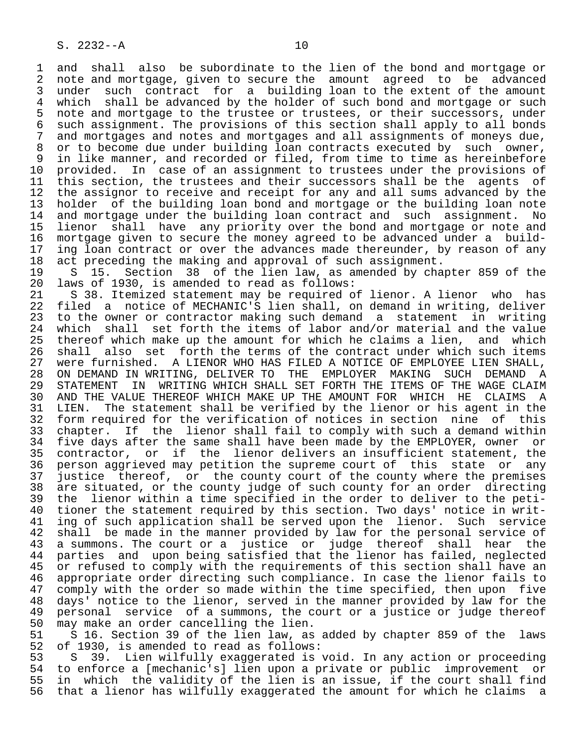1 and shall also be subordinate to the lien of the bond and mortgage or<br>2 note and mortgage, given to secure the amount agreed to be advanced 2 note and mortgage, given to secure the amount agreed to be advanced<br>3 under such contract for a building loan to the extent of the amount 3 under such contract for a building loan to the extent of the amount<br>4 which shall be advanced by the holder of such bond and mortgage or such 4 which shall be advanced by the holder of such bond and mortgage or such<br>5 note and mortgage to the trustee or trustees, or their successors, under 5 note and mortgage to the trustee or trustees, or their successors, under<br>6 such assignment. The provisions of this section shall apply to all bonds 6 such assignment. The provisions of this section shall apply to all bonds<br>7 and mortgages and notes and mortgages and all assignments of moneys due. 7 and mortgages and notes and mortgages and all assignments of moneys due,<br>8 or to become due under building loan contracts executed by such owner. 8 or to become due under building loan contracts executed by such owner,<br>9 in like manner, and recorded or filed, from time to time as hereinbefore 9 in like manner, and recorded or filed, from time to time as hereinbefore<br>10 provided. In case of an assignment to trustees under the provisions of 10 provided. In case of an assignment to trustees under the provisions of<br>11 this section, the trustees and their successors shall be the agents of 11 this section, the trustees and their successors shall be the agents of<br>12 the assignor to receive and receipt for any and all sums advanced by the 12 the assignor to receive and receipt for any and all sums advanced by the<br>13 holder of the building loan bond and mortgage or the building loan note 13 holder of the building loan bond and mortgage or the building loan note<br>14 and mortgage under the building loan contract and such assignment. No and mortgage under the building loan contract and such assignment. No 15 lienor shall have any priority over the bond and mortgage or note and 16 mortgage given to secure the money agreed to be advanced under a build-<br>17 ing loan contract or over the advances made thereunder, by reason of any 17 ing loan contract or over the advances made thereunder, by reason of any<br>18 act preceding the making and approval of such assignment.

18 act preceding the making and approval of such assignment.<br>19 S 15. Section 38 of the lien law, as amended by cha 19 S 15. Section 38 of the lien law, as amended by chapter 859 of the 20 laws of 1930, is amended to read as follows: 20 laws of 1930, is amended to read as follows:

21 S 38. Itemized statement may be required of lienor. A lienor who has<br>22 filed a notice of MECHANIC'S lien shall, on demand in writing, deliver 22 filed a notice of MECHANIC'S lien shall, on demand in writing, deliver<br>23 to the owner or contractor making such demand a statement in writing 23 to the owner or contractor making such demand a statement in writing<br>24 which shall set forth the items of labor and/or material and the value 24 which shall set forth the items of labor and/or material and the value<br>25 thereof which make up the amount for which he claims a lien, and which thereof which make up the amount for which he claims a lien, and which 26 shall also set forth the terms of the contract under which such items<br>27 were furnished. A LIENOR WHO HAS FILED A NOTICE OF EMPLOYEE LIEN SHALL, 27 were furnished. A LIENOR WHO HAS FILED A NOTICE OF EMPLOYEE LIEN SHALL,<br>28 ON DEMAND IN WRITING, DELIVER TO THE EMPLOYER MAKING SUCH DEMAND A 28 ON DEMAND IN WRITING, DELIVER TO THE EMPLOYER MAKING SUCH DEMAND A<br>29 STATEMENT IN WRITING WHICH SHALL SET FORTH THE ITEMS OF THE WAGE CLAIM 29 STATEMENT IN WRITING WHICH SHALL SET FORTH THE ITEMS OF THE WAGE CLAIM<br>20 AND THE VALUE THEREOF WHICH MAKE UP THE AMOUNT FOR WHICH HE CLAIMS A 30 AND THE VALUE THEREOF WHICH MAKE UP THE AMOUNT FOR WHICH HE CLAIMS A<br>31 LIEN. The statement shall be verified by the lienor or his agent in the 31 LIEN. The statement shall be verified by the lienor or his agent in the<br>32 form required for the verification of notices in section nine of this 32 form required for the verification of notices in section nine of this<br>33 chapter. If the lienor shall fail to comply with such a demand within 33 chapter. If the lienor shall fail to comply with such a demand within<br>34 five days after the same shall have been made by the EMPLOYER, owner or 34 five days after the same shall have been made by the EMPLOYER, owner or<br>35 contractor, or if the lienor delivers an insufficient statement, the 35 contractor, or if the lienor delivers an insufficient statement, the<br>36 person aggrieved may petition the supreme court of this state or any person aggrieved may petition the supreme court of this state or any 37 justice thereof, or the county court of the county where the premises 38 are situated, or the county judge of such county for an order directing<br>39 the lienor within a time specified in the order to deliver to the peti-39 the lienor within a time specified in the order to deliver to the peti-<br>40 tioner the statement required by this section. Two days' notice in writ-40 tioner the statement required by this section. Two days' notice in writ-<br>41 ing of such application shall be served upon the lienor. Such service 41 ing of such application shall be served upon the lienor. Such service<br>42 shall be made in the manner provided by law for the personal service of 42 shall be made in the manner provided by law for the personal service of<br>43 a summons. The court or a justice or judge thereof shall hear the 43 a summons. The court or a justice or judge thereof shall hear the<br>44 parties and upon being satisfied that the lienor has failed, neglected 44 parties and upon being satisfied that the lienor has failed, neglected<br>45 or refused to comply with the requirements of this section shall have an or refused to comply with the requirements of this section shall have an 46 appropriate order directing such compliance. In case the lienor fails to<br>47 comply with the order so made within the time specified, then upon five 47 comply with the order so made within the time specified, then upon five<br>48 days' notice to the lienor, served in the manner provided by law for the 48 days' notice to the lienor, served in the manner provided by law for the 49 personal service of a summons, the court or a justice or judge thereof<br>50 may make an order cancelling the lien.

50 may make an order cancelling the lien.<br>51 S 16. Section 39 of the lien law, as 51 S 16. Section 39 of the lien law, as added by chapter 859 of the laws<br>52 of 1930, is amended to read as follows: 52 of 1930, is amended to read as follows:<br>53 S 39. Lien wilfully exaggerated is

53 S 39. Lien wilfully exaggerated is void. In any action or proceeding<br>54 to enforce a [mechanic's] lien upon a private or public improvement or 54 to enforce a [mechanic's] lien upon a private or public improvement or<br>55 in which the validity of the lien is an issue, if the court shall find 55 in which the validity of the lien is an issue, if the court shall find<br>56 that a lienor has wilfully exaggerated the amount for which he claims a that a lienor has wilfully exaggerated the amount for which he claims a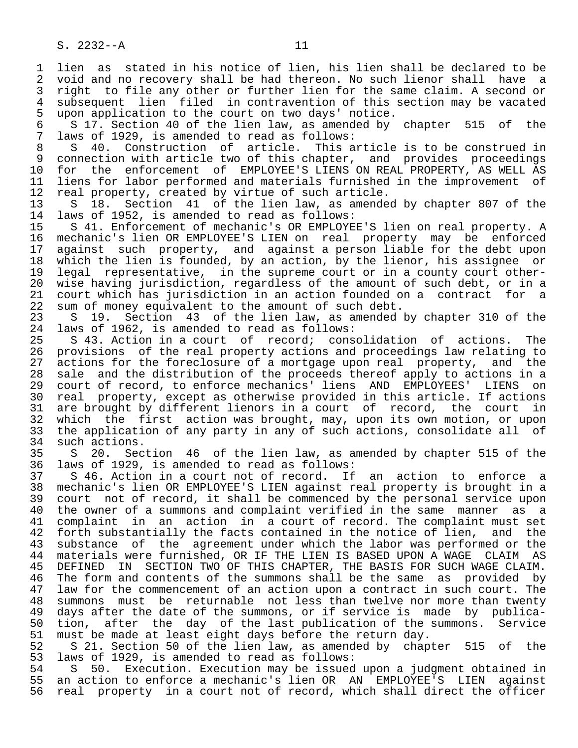1 lien as stated in his notice of lien, his lien shall be declared to be<br>2 void and no recovery shall be had thereon. No such lienor shall have a 2 void and no recovery shall be had thereon. No such lienor shall have a<br>3 right to file any other or further lien for the same claim. A second or 3 right to file any other or further lien for the same claim. A second or 4 subsequent lien filed in contravention of this section may be vacated<br>5 upon application to the court on two days' notice.

5 upon application to the court on two days' notice.<br>6 5 17. Section 40 of the lien law, as amended by 6 S 17. Section 40 of the lien law, as amended by chapter 515 of the<br>7 laws of 1929, is amended to read as follows: 7 laws of 1929, is amended to read as follows:<br>8 5 40. Construction of article. This a

8 S 40. Construction of article. This article is to be construed in<br>9 connection with article two of this chapter, and provides proceedings 9 connection with article two of this chapter, and provides proceedings<br>10 for the enforcement of EMPLOYEE'S LIENS ON REAL PROPERTY, AS WELL AS 10 for the enforcement of EMPLOYEE'S LIENS ON REAL PROPERTY, AS WELL AS<br>11 liens for labor performed and materials furnished in the improvement of 11 liens for labor performed and materials furnished in the improvement of<br>12 real property, created by virtue of such article. 12 real property, created by virtue of such article.<br>13 S 18. Section 41 of the lien law, as amended

13 S 18. Section 41 of the lien law, as amended by chapter 807 of the<br>14 laws of 1952, is amended to read as follows: laws of 1952, is amended to read as follows:

15 S 41. Enforcement of mechanic's OR EMPLOYEE'S lien on real property. A<br>16 mechanic's lien OR EMPLOYEE'S LIEN on real property may be enforced 16 mechanic's lien OR EMPLOYEE'S LIEN on real property may be enforced<br>17 against such property, and against a person liable for the debt upon 17 against such property, and against a person liable for the debt upon<br>18 which the lien is founded, by an action, by the lienor, his assignee or 18 which the lien is founded, by an action, by the lienor, his assignee or<br>19 legal representative, in the supreme court or in a county court other-19 legal representative, in the supreme court or in a county court other-<br>20 wise having jurisdiction, regardless of the amount of such debt, or in a 20 wise having jurisdiction, regardless of the amount of such debt, or in a<br>21 court which has jurisdiction in an action founded on a contract for a 21 court which has jurisdiction in an action founded on a contract for a<br>22 sum of money equivalent to the amount of such debt. 22 sum of money equivalent to the amount of such debt.<br>23 S 19. Section 43 of the lien law, as amended

 23 S 19. Section 43 of the lien law, as amended by chapter 310 of the 24 laws of 1962, is amended to read as follows:<br>25 S 43, Action in a court of record; cons

S 43. Action in a court of record; consolidation of actions. The 26 provisions of the real property actions and proceedings law relating to<br>27 actions for the foreclosure of a mortgage upon real property, and the 27 actions for the foreclosure of a mortgage upon real property, and the<br>28 sale and the distribution of the proceeds thereof apply to actions in a 28 sale and the distribution of the proceeds thereof apply to actions in a<br>29 court of record, to enforce mechanics' liens AND EMPLOYEES' LIENS on 29 court of record, to enforce mechanics' liens AND EMPLOYEES' LIENS on<br>30 real property, except as otherwise provided in this article. If actions 30 real property, except as otherwise provided in this article. If actions<br>31 are brought by different lienors in a court of record, the court in 31 are brought by different lienors in a court of record, the court in<br>32 which the first action was brought, may, upon its own motion, or upon 32 which the first action was brought, may, upon its own motion, or upon<br>33 the application of any party in any of such actions, consolidate all of 33 the application of any party in any of such actions, consolidate all of 34 such actions. 34 such actions.<br>35 S 20. Sec

35 S 20. Section 46 of the lien law, as amended by chapter 515 of the 36 laws of 1929, is amended to read as follows: laws of 1929, is amended to read as follows:

 37 S 46. Action in a court not of record. If an action to enforce a 38 mechanic's lien OR EMPLOYEE'S LIEN against real property is brought in a 39 court not of record, it shall be commenced by the personal service upon<br>40 the owner of a summons and complaint verified in the same manner as a 40 the owner of a summons and complaint verified in the same manner as a<br>41 complaint in an action in a court of record. The complaint must set 41 complaint in an action in a court of record. The complaint must set<br>42 forth substantially the facts contained in the notice of lien, and the 42 forth substantially the facts contained in the notice of lien, and the<br>43 substance of the agreement under which the labor was performed or the 43 substance of the agreement under which the labor was performed or the<br>44 materials were furnished, OR IF THE LIEN IS BASED UPON A WAGE CLAIM AS 44 materials were furnished, OR IF THE LIEN IS BASED UPON A WAGE CLAIM AS<br>45 DEFINED IN SECTION TWO OF THIS CHAPTER, THE BASIS FOR SUCH WAGE CLAIM. DEFINED IN SECTION TWO OF THIS CHAPTER, THE BASIS FOR SUCH WAGE CLAIM. 46 The form and contents of the summons shall be the same as provided by<br>47 law for the commencement of an action upon a contract in such court. The law for the commencement of an action upon a contract in such court. The 48 summons must be returnable not less than twelve nor more than twenty<br>49 days after the date of the summons, or if service is made by publica-49 days after the date of the summons, or if service is made by publica-<br>50 tion, after the day of the last publication of the summons. Service 50 tion, after the day of the last publication of the summons. Service<br>51 must be made at least eight days before the return day. 51 must be made at least eight days before the return day.<br>52 S 21. Section 50 of the lien law, as amended by chap

52 S 21. Section 50 of the lien law, as amended by chapter 515 of the 53 laws of 1929, is amended to read as follows: 53 laws of 1929, is amended to read as follows:

54 S 50. Execution. Execution may be issued upon a judgment obtained in<br>55 an action to enforce a mechanic's lien OR AN EMPLOYEE'S LIEN against 55 an action to enforce a mechanic's lien OR AN EMPLOYEE'S LIEN against<br>56 real property in a court not of record, which shall direct the officer real property in a court not of record, which shall direct the officer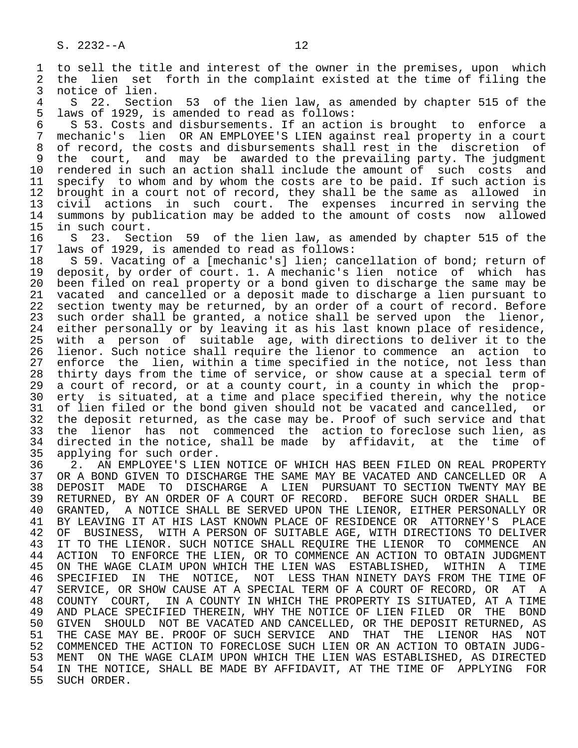1 to sell the title and interest of the owner in the premises, upon which<br>2 the lien set forth in the complaint existed at the time of filing the 2 the lien set forth in the complaint existed at the time of filing the<br>3 notice of lien. 3 notice of lien.<br>4 S 22. Sectiv

4 S 22. Section 53 of the lien law, as amended by chapter 515 of the<br>5 laws of 1929, is amended to read as follows: 5 laws of 1929, is amended to read as follows:<br>6 5 53. Costs and disbursements. If an action

6 S 53. Costs and disbursements. If an action is brought to enforce a<br>7 mechanic's lien OR AN EMPLOYEE'S LIEN against real property in a court 7 mechanic's lien OR AN EMPLOYEE'S LIEN against real property in a court 8 of record, the costs and disbursements shall rest in the discretion of<br>8 the court, and may be awarded to the prevailing party. The judgment 9 the court, and may be awarded to the prevailing party. The judgment<br>10 rendered in such an action shall include the amount of such costs and 10 rendered in such an action shall include the amount of such costs and<br>11 specify to whom and by whom the costs are to be paid. If such action is 11 specify to whom and by whom the costs are to be paid. If such action is<br>12 brought in a court not of record, they shall be the same as allowed in 12 brought in a court not of record, they shall be the same as allowed in<br>13 civil actions in such court. The expenses incurred in serving the 13 civil actions in such court. The expenses incurred in serving the<br>14 summons by publication may be added to the amount of costs now allowed summons by publication may be added to the amount of costs now allowed

15 in such court.<br>16 S 23. Sect 16 S 23. Section 59 of the lien law, as amended by chapter 515 of the 17 laws of 1929, is amended to read as follows: 17 laws of 1929, is amended to read as follows:<br>18 S 59. Vacating of a [mechanic's] lien; can

18 S 59. Vacating of a [mechanic's] lien; cancellation of bond; return of<br>19 deposit, by order of court, 1, A mechanic's lien notice of which has 19 deposit, by order of court. 1. A mechanic's lien notice of which has 20 been filed on real property or a bond given to discharge the same may be<br>21 vacated and cancelled or a deposit made to discharge a lien pursuant to 21 vacated and cancelled or a deposit made to discharge a lien pursuant to<br>22 section twenty may be returned, by an order of a court of record. Before 22 section twenty may be returned, by an order of a court of record. Before<br>23 such order shall be granted, a notice shall be served upon the lienor, 23 such order shall be granted, a notice shall be served upon the lienor,<br>24 either personally or by leaving it as his last known place of residence. 24 either personally or by leaving it as his last known place of residence,<br>25 with a person of suitable age, with directions to deliver it to the with a person of suitable age, with directions to deliver it to the 26 lienor. Such notice shall require the lienor to commence an action to<br>27 enforce the lien, within a time specified in the notice, not less than 27 enforce the lien, within a time specified in the notice, not less than<br>28 thirty days from the time of service, or show cause at a special term of 28 thirty days from the time of service, or show cause at a special term of<br>29 a court of record, or at a county court, in a county in which the prop-29 a court of record, or at a county court, in a county in which the prop-<br>20 erty is situated, at a time and place specified therein, why the notice 30 erty is situated, at a time and place specified therein, why the notice<br>31 of lien filed or the bond given should not be vacated and cancelled, or 31 of lien filed or the bond given should not be vacated and cancelled, or<br>32 the deposit returned, as the case may be. Proof of such service and that 32 the deposit returned, as the case may be. Proof of such service and that<br>33 the lienor has not commenced the action to foreclose such lien, as 33 the lienor has not commenced the action to foreclose such lien, as<br>34 directed in the notice, shall be made by affidavit, at the time of 34 directed in the notice, shall be made by affidavit, at the time of<br>35 applying for such order. 35 applying for such order.

36 2. AN EMPLOYEE'S LIEN NOTICE OF WHICH HAS BEEN FILED ON REAL PROPERTY<br>37 OR A BOND GIVEN TO DISCHARGE THE SAME MAY BE VACATED AND CANCELLED OR A 37 OR A BOND GIVEN TO DISCHARGE THE SAME MAY BE VACATED AND CANCELLED OR A 38 DEPOSIT MADE TO DISCHARGE A LIEN PURSUANT TO SECTION TWENTY MAY BE 39 RETURNED, BY AN ORDER OF A COURT OF RECORD. BEFORE SUCH ORDER SHALL BE 39 RETURNED, BY AN ORDER OF A COURT OF RECORD. BEFORE SUCH ORDER SHALL BE<br>40 GRANTED, A NOTICE SHALL BE SERVED UPON THE LIENOR, EITHER PERSONALLY OR 40 GRANTED, A NOTICE SHALL BE SERVED UPON THE LIENOR, EITHER PERSONALLY OR<br>41 BY LEAVING IT AT HIS LAST KNOWN PLACE OF RESIDENCE OR ATTORNEY'S PLACE 41 BY LEAVING IT AT HIS LAST KNOWN PLACE OF RESIDENCE OR ATTORNEY'S PLACE<br>42 OF BUSINESS, WITH A PERSON OF SUITABLE AGE, WITH DIRECTIONS TO DELIVER 42 OF BUSINESS, WITH A PERSON OF SUITABLE AGE, WITH DIRECTIONS TO DELIVER<br>43 IT TO THE LIENOR, SUCH NOTICE SHALL REOUIRE THE LIENOR TO COMMENCE AN 43 IT TO THE LIENOR. SUCH NOTICE SHALL REQUIRE THE LIENOR TO COMMENCE AN 44 ACTION TO ENFORCE THE LIEN. OR TO COMMENCE AN ACTION TO OBTAIN JUDGMENT 44 ACTION TO ENFORCE THE LIEN, OR TO COMMENCE AN ACTION TO OBTAIN JUDGMENT<br>45 ON THE WAGE CLAIM UPON WHICH THE LIEN WAS ESTABLISHED, WITHIN A TIME 45 ON THE WAGE CLAIM UPON WHICH THE LIEN WAS ESTABLISHED, WITHIN A TIME 46 SPECIFIED IN THE NOTICE, NOT LESS THAN NINETY DAYS FROM THE TIME OF 47 SERVICE, OR SHOW CAUSE AT A SPECIAL TERM OF A COURT OF RECORD, OR AT A SERVICE, OR SHOW CAUSE AT A SPECIAL TERM OF A COURT OF RECORD, OR AT A 48 COUNTY COURT, IN A COUNTY IN WHICH THE PROPERTY IS SITUATED, AT A TIME<br>49 AND PLACE SPECIFIED THEREIN, WHY THE NOTICE OF LIEN FILED OR THE BOND 49 AND PLACE SPECIFIED THEREIN, WHY THE NOTICE OF LIEN FILED OR THE BOND<br>50 GIVEN SHOULD NOT BE VACATED AND CANCELLED, OR THE DEPOSIT RETURNED, AS 50 GIVEN SHOULD NOT BE VACATED AND CANCELLED, OR THE DEPOSIT RETURNED, AS<br>51 THE CASE MAY BE. PROOF OF SUCH SERVICE AND THAT THE LIENOR HAS NOT 51 THE CASE MAY BE. PROOF OF SUCH SERVICE AND THAT THE LIENOR HAS NOT<br>52 COMMENCED THE ACTION TO FORECLOSE SUCH LIEN OR AN ACTION TO OBTAIN JUDG-52 COMMENCED THE ACTION TO FORECLOSE SUCH LIEN OR AN ACTION TO OBTAIN JUDG-<br>53 MENT ON THE WAGE CLAIM UPON WHICH THE LIEN WAS ESTABLISHED, AS DIRECTED 53 MENT ON THE WAGE CLAIM UPON WHICH THE LIEN WAS ESTABLISHED, AS DIRECTED<br>54 IN THE NOTICE, SHALL BE MADE BY AFFIDAVIT, AT THE TIME OF APPLYING FOR 54 IN THE NOTICE, SHALL BE MADE BY AFFIDAVIT, AT THE TIME OF APPLYING FOR<br>55 SUCH ORDER. SUCH ORDER.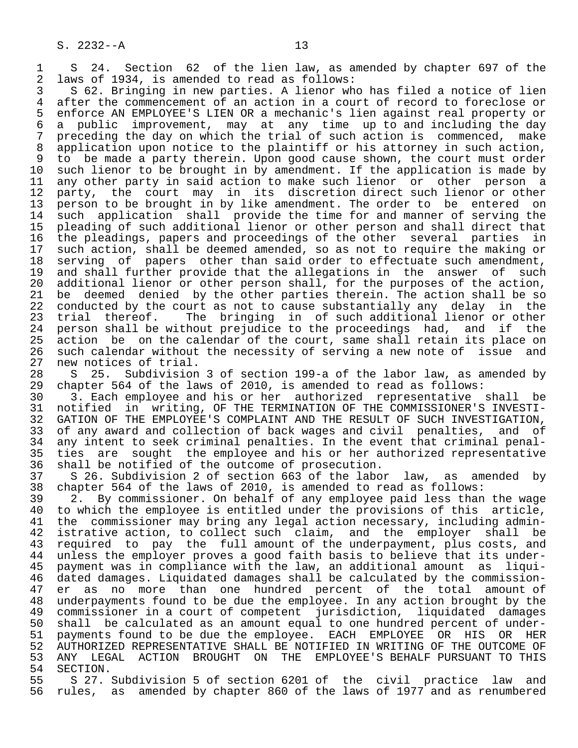1 S 24. Section 62 of the lien law, as amended by chapter 697 of the<br>2 laws of 1934, is amended to read as follows:

2 laws of 1934, is amended to read as follows:<br>3 S 62. Bringing in new parties. A lienor wh 3 S 62. Bringing in new parties. A lienor who has filed a notice of lien<br>4 after the commencement of an action in a court of record to foreclose or 4 after the commencement of an action in a court of record to foreclose or<br>5 enforce AN EMPLOYEE'S LIEN OR a mechanic's lien against real property or 5 enforce AN EMPLOYEE'S LIEN OR a mechanic's lien against real property or<br>6 a public improvement, may at any time up to and including the day 6 a public improvement, may at any time up to and including the day<br>7 preceding the day on which the trial of such action is commenced, make 7 preceding the day on which the trial of such action is commenced, make<br>8 application upon notice to the plaintiff or his attorney in such action. 8 application upon notice to the plaintiff or his attorney in such action,<br>8 to be made a party therein. Upon good cause shown, the court must order 9 to be made a party therein. Upon good cause shown, the court must order<br>10 such lienor to be brought in by amendment. If the application is made by 10 such lienor to be brought in by amendment. If the application is made by<br>11 any other party in said action to make such lienor or other person a 11 any other party in said action to make such lienor or other person a<br>12 party, the court may in its discretion direct such lienor or other 12 party, the court may in its discretion-direct-such-lienor or other<br>13 person to be brought in by like amendment. The order to be entered on 13 person to be brought in by like amendment. The order to be entered on<br>14 such application shall provide the time for and manner of serving the such application shall provide the time for and manner of serving the 15 pleading of such additional lienor or other person and shall direct that<br>16 the pleadings, papers and proceedings of the other several parties in 16 the pleadings, papers and proceedings of the other several parties in<br>17 such action, shall be deemed amended, so as not to require the making or 17 such action, shall be deemed amended, so as not to require the making or<br>18 serving of papers other than said order to effectuate such amendment, 18 serving of papers other than said order to effectuate such amendment,<br>19 and shall further provide that the allegations in the answer of such 19 and shall further provide that the allegations in the answer of such<br>20 additional lienor or other person shall, for the purposes of the action, 20 additional lienor or other person shall, for the purposes of the action,<br>21 be deemed denied by the other parties therein. The action shall be so 21 be deemed denied by the other parties therein. The action shall be so<br>22 conducted by the court as not to cause substantially any delay in the 22 conducted by the court as not to cause substantially any delay in the<br>23 trial thereof. The bringing in of such additional lienor or other 23 trial thereof. The bringing in of such additional lienor or other<br>24 person shall be without prejudice to the proceedings had, and if the 24 person shall be without prejudice to the proceedings had, and if the<br>25 action be on the calendar of the court, same shall retain its place on action be on the calendar of the court, same shall retain its place on 26 such calendar without the necessity of serving a new note of issue and<br>27 new notices of trial.

27 new notices of trial.<br>28 S 25. Subdivision 28 S 25. Subdivision 3 of section 199-a of the labor law, as amended by<br>29 chapter 564 of the laws of 2010, is amended to read as follows: 29 chapter 564 of the laws of 2010, is amended to read as follows:<br>30 3. Each employee and his or her authorized representative

30 3. Each employee and his or her authorized representative shall be<br>31 notified in writing. OF THE TERMINATION OF THE COMMISSIONER'S INVESTI-31 notified in writing, OF THE TERMINATION OF THE COMMISSIONER'S INVESTI-<br>32 GATION OF THE EMPLOYEE'S COMPLAINT AND THE RESULT OF SUCH INVESTIGATION, 32 GATION OF THE EMPLOYEE'S COMPLAINT AND THE RESULT OF SUCH INVESTIGATION,<br>33 of any award and collection of back wages and civil penalties, and of 33 of any award and collection of back wages and civil penalties, and of<br>34 any intent to seek criminal penalties. In the event that criminal penal-34 any intent to seek criminal penalties. In the event that criminal penal-<br>35 ties, are sought, the employee and his or her authorized representative 35 ties are sought the employee and his or her authorized representative<br>36 shall be notified of the outcome of prosecution. 36 shall be notified of the outcome of prosecution.

37 S 26. Subdivision 2 of section 663 of the labor law, as amended by<br>38 chapter 564 of the laws of 2010, is amended to read as follows: 38 chapter 564 of the laws of 2010, is amended to read as follows:

 39 2. By commissioner. On behalf of any employee paid less than the wage 40 to which the employee is entitled under the provisions of this article,<br>41 the commissioner may bring any legal action necessary, including admin-41 the commissioner may bring any legal action necessary, including admin-<br>42 istrative action, to collect such claim, and the employer shall be 42 istrative action, to collect such claim, and the employer shall be<br>43 required to pay the full amount of the underpayment, plus costs, and 43 required to pay the full amount of the underpayment, plus costs, and<br>44 unless the emplover proves a good faith basis to believe that its under-44 unless the employer proves a good faith basis to believe that its under-<br>45 payment was in compliance with the law, an additional amount as liqui- 45 payment was in compliance with the law, an additional amount as liqui- 46 dated damages. Liquidated damages shall be calculated by the commission- 47 er as no more than one hundred percent of the total amount of 48 underpayments found to be due the employee. In any action brought by the 48 underpayments found to be due the employee. In any action brought by the 49 commissioner in a court of competent jurisdiction, liquidated damages<br>50 shall be calculated as an amount equal to one hundred percent of under-50 shall be calculated as an amount equal to one hundred percent of under-<br>51 payments found to be due the employee. EACH EMPLOYEE OR HIS OR HER 51 payments found to be due the employee. EACH EMPLOYEE OR HIS OR HER<br>52 AUTHORIZED REPRESENTATIVE SHALL BE NOTIFIED IN WRITING OF THE OUTCOME OF 52 AUTHORIZED REPRESENTATIVE SHALL BE NOTIFIED IN WRITING OF THE OUTCOME OF<br>53 ANY LEGAL ACTION BROUGHT ON THE EMPLOYEE'S BEHALF PURSUANT TO THIS 53 ANY LEGAL ACTION BROUGHT ON THE EMPLOYEE'S BEHALF PURSUANT TO THIS<br>54 SECTION. 54 SECTION.<br>55 S 27.

55 S 27. Subdivision 5 of section 6201 of the civil practice law and<br>56 rules, as amended by chapter 860 of the laws of 1977 and as renumbered 56 rules, as amended by chapter 860 of the laws of 1977 and as renumbered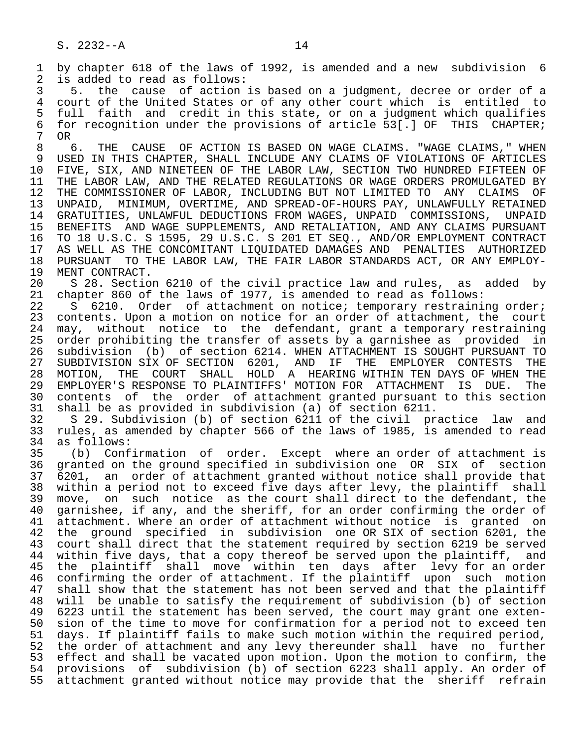1 by chapter 618 of the laws of 1992, is amended and a new subdivision 6<br>2 is added to read as follows: 2 is added to read as follows:<br>3 5. the cause of action

 3 5. the cause of action is based on a judgment, decree or order of a 4 court of the United States or of any other court which is entitled to<br>5 full faith and credit in this state, or on a judgment which qualifies 5 full faith and credit in this state, or on a judgment which qualifies 6 for recognition under the provisions of article 53[.] OF THIS CHAPTER;  $\begin{matrix} 7 & 0R \\ 8 & 6 \end{matrix}$ 

 8 6. THE CAUSE OF ACTION IS BASED ON WAGE CLAIMS. "WAGE CLAIMS," WHEN 9 USED IN THIS CHAPTER, SHALL INCLUDE ANY CLAIMS OF VIOLATIONS OF ARTICLES<br>10 FIVE, SIX, AND NINETEEN OF THE LABOR LAW, SECTION TWO HUNDRED FIFTEEN OF 10 FIVE, SIX, AND NINETEEN OF THE LABOR LAW, SECTION TWO HUNDRED FIFTEEN OF<br>11 THE LABOR LAW, AND THE RELATED REGULATIONS OR WAGE ORDERS PROMULGATED BY 11 THE LABOR LAW, AND THE RELATED REGULATIONS OR WAGE ORDERS PROMULGATED BY<br>12 THE COMMISSIONER OF LABOR, INCLUDING BUT NOT LIMITED TO ANY CLAIMS OF 12 THE COMMISSIONER OF LABOR, INCLUDING BUT NOT LIMITED TO ANY 13 UNPAID, MINIMUM, OVERTIME, AND SPREAD-OF-HOURS PAY, UNLAWFUL 13 UNPAID, MINIMUM, OVERTIME, AND SPREAD-OF-HOURS PAY, UNLAWFULLY RETAINED<br>14 GRATUITIES, UNLAWFUL DEDUCTIONS FROM WAGES, UNPAID COMMISSIONS, UNPAID 14 GRATUITIES, UNLAWFUL DEDUCTIONS FROM WAGES, UNPAID COMMISSIONS, UNPAID 15 BENEFITS AND WAGE SUPPLEMENTS, AND RETALIATION, AND ANY CLAIMS PURSUANT<br>16 TO 18 U.S.C. S 1595, 29 U.S.C. S 201 ET SEO., AND/OR EMPLOYMENT CONTRACT 16 TO 18 U.S.C. S 1595, 29 U.S.C. S 201 ET SEQ., AND/OR EMPLOYMENT CONTRACT 17 AS WELL AS THE CONCOMITANT LIQUIDATED DAMAGES AND PENALTIES AUTHORIZED<br>18 PURSUANT TO THE LABOR LAW, THE FAIR LABOR STANDARDS ACT, OR ANY EMPLOY-18 PURSUANT TO THE LABOR LAW, THE FAIR LABOR STANDARDS ACT, OR ANY EMPLOY-<br>19 MENT CONTRACT.

19 MENT CONTRACT.<br>20 S 28. Sectio 20 S 28. Section 6210 of the civil practice law and rules, as added by<br>21 chapter 860 of the laws of 1977, is amended to read as follows: 21 chapter 860 of the laws of 1977, is amended to read as follows:<br>22 S 6210. Order of attachment on notice; temporary restraini

22 S 6210. Order of attachment on notice; temporary restraining order;<br>23 contents. Upon a motion on notice for an order of attachment, the court 23 contents. Upon a motion on notice for an order of attachment, the court 24 may, without notice to the defendant, grant a temporary restraining<br>25 order prohibiting the transfer of assets by a garnishee as provided in order prohibiting the transfer of assets by a garnishee as provided in 26 subdivision (b) of section 6214. WHEN ATTACHMENT IS SOUGHT PURSUANT TO 27 SUBDIVISION SIX OF SECTION 6201, AND IF THE EMPLOYER CONTESTS THE 28 MOTION, THE COURT SHALL HOLD A HEARING WITHIN TEN DAYS OF WHEN THE 28 MOTION, THE COURT SHALL HOLD A HEARING—WITHIN TEN DAYS OF WHEN THE THE COURT SHALL HOLD A HEARING WITHIN TEN DAYS OF WHEN THE 29 EMPLOYER'S RESPONSE TO PLAINTIFFS' MOTION FOR ATTACHMENT IS DUE. The<br>30 contents of the order of attachment granted pursuant to this section 30 contents of the order of attachment granted pursuant to this section<br>31 shall be as provided in subdivision (a) of section 6211. 31 shall be as provided in subdivision (a) of section 6211.

32 S 29. Subdivision (b) of section 6211 of the civil practice law and<br>33 rules, as amended by chapter 566 of the laws of 1985, is amended to read 33 rules, as amended by chapter 566 of the laws of 1985, is amended to read 34 as follows:<br>35 (b) Conf

 35 (b) Confirmation of order. Except where an order of attachment is granted on the ground specified in subdivision one OR SIX of section 37 6201, an order of attachment granted without notice shall provide that 38 within a period not to exceed five days after levy, the plaintiff shall<br>39 move, on such notice as the court shall direct to the defendant, the 39 move, on such notice as the court shall direct to the defendant, the<br>40 garnishee, if any, and the sheriff, for an order confirming the order of 40 garnishee, if any, and the sheriff, for an order confirming the order of<br>41 attachment. Where an order of attachment without notice is granted on 41 attachment. Where an order of attachment without notice is granted on<br>42 the ground specified in subdivision one OR SIX of section 6201, the 42 the ground specified in subdivision one OR SIX of section 6201, the<br>43 court shall direct that the statement required by section 6219 be served 43 court shall direct that the statement required by section 6219 be served<br>44 within five days, that a copy thereof be served upon the plaintiff, and 44 within five days, that a copy thereof be served upon the plaintiff, and<br>45 the plaintiff shall move within ten days after levy for an order the plaintiff shall move within ten days after levy for an order 46 confirming the order of attachment. If the plaintiff upon such motion<br>47 shall show that the statement has not been served and that the plaintiff shall show that the statement has not been served and that the plaintiff 48 will be unable to satisfy the requirement of subdivision (b) of section<br>49 6223 until the statement has been served, the court may grant one exten-6223 until the statement has been served, the court may grant one exten- 50 sion of the time to move for confirmation for a period not to exceed ten 51 days. If plaintiff fails to make such motion within the required period, 52 the order of attachment and any levy thereunder shall have no further 53 effect and shall be vacated upon motion. Upon the motion to confirm, the 54 provisions of subdivision (b) of section 6223 shall apply. An order of 55 attachment granted without notice may provide that the sheriff refrain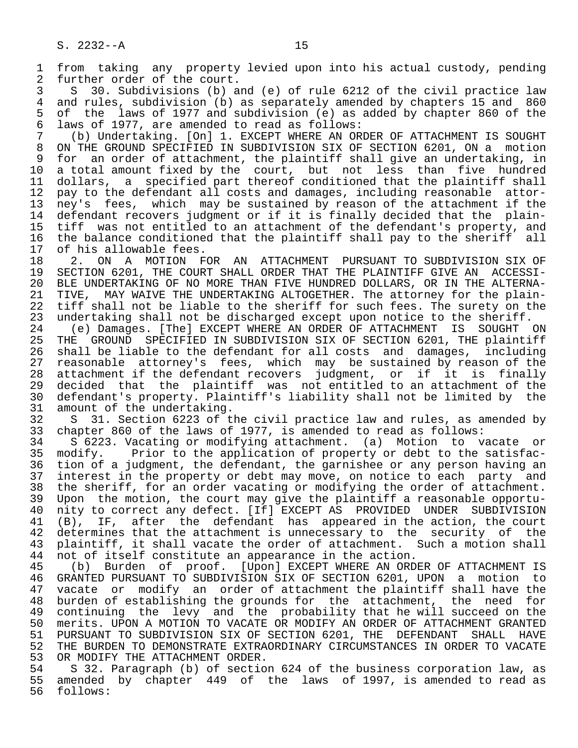1 from taking any property levied upon into his actual custody, pending 2 further order of the court.<br>3 S 30. Subdivisions (b) a

 3 S 30. Subdivisions (b) and (e) of rule 6212 of the civil practice law 4 and rules, subdivision (b) as separately amended by chapters 15 and 860<br>5 of the laws of 1977 and subdivision (e) as added by chapter 860 of the 5 of the laws of 1977 and subdivision (e) as added by chapter 860 of the<br>6 laws of 1977, are amended to read as follows: 6 laws of 1977, are amended to read as follows:

 7 (b) Undertaking. [On] 1. EXCEPT WHERE AN ORDER OF ATTACHMENT IS SOUGHT ON THE GROUND SPECIFIED IN SUBDIVISION SIX OF SECTION 6201, ON a motion 9 for an order of attachment, the plaintiff shall give an undertaking, in<br>10 a total amount fixed by the court, but not less than five hundred 10 a total amount fixed by the court, but not less than five hundred<br>11 dollars, a specified part thereof conditioned that the plaintiff shall 11 dollars, a specified part thereof conditioned that the plaintiff shall<br>12 pay to the defendant all costs and damages, including reasonable attorpay to the defendant all costs and damages, including reasonable attor-13 ney's fees, which may be sustained by reason of the attachment if the<br>14 defendant recovers judgment or if it is finally decided that the plaindefendant recovers judgment or if it is finally decided that the plain-15 tiff was not entitled to an attachment of the defendant's property, and<br>16 the balance conditioned that the plaintiff shall pay to the sheriff all 16 the balance conditioned that the plaintiff shall pay to the sheriff all<br>17 of his allowable fees. 17 of his allowable fees.<br>18 2. ON A MOTION F

18 2. ON A MOTION FOR AN ATTACHMENT PURSUANT TO SUBDIVISION SIX OF 19 SECTION 6201. THE COURT SHALL ORDER THAT THE PLAINTIFF GIVE AN ACCESSI-19 SECTION 6201, THE COURT SHALL ORDER THAT THE PLAINTIFF GIVE AN ACCESSI-<br>20 BLE UNDERTAKING OF NO MORE THAN FIVE HUNDRED DOLLARS, OR IN THE ALTERNA-20 BLE UNDERTAKING OF NO MORE THAN FIVE HUNDRED DOLLARS, OR IN THE ALTERNA-<br>21 TIVE, MAY WAIVE THE UNDERTAKING ALTOGETHER. The attorney for the plain-21 TIVE, MAY WAIVE THE UNDERTAKING ALTOGETHER. The attorney for the plain-<br>22 tiff shall not be liable to the sheriff for such fees. The surety on the 22 tiff shall not be liable to the sheriff for such fees. The surety on the<br>23 undertaking shall not be discharged except upon notice to the sheriff. 23 undertaking shall not be discharged except upon notice to the sheriff.<br>24 (e) Damages. [The] EXCEPT WHERE AN ORDER OF ATTACHMENT IS SOUGHT

24 (e) Damages. [The] EXCEPT WHERE AN ORDER OF ATTACHMENT IS SOUGHT ON<br>25 THE GROUND SPECIFIED IN SUBDIVISION SIX OF SECTION 6201. THE plaintiff THE GROUND SPECIFIED IN SUBDIVISION SIX OF SECTION 6201, THE plaintiff 26 shall be liable to the defendant for all costs and damages, including<br>27 reasonable attorney's fees, which may be sustained by reason of the 27 reasonable attorney's fees, which may be sustained by reason of the<br>28 attachment if the defendant recovers judgment, or if it is finally 28 attachment if the defendant recovers judgment, or if it is finally<br>29 decided that the plaintiff was not entitled to an attachment of the 29 decided that the plaintiff was not entitled to an attachment of the<br>30 defendant's property. Plaintiff's liability shall not be limited by the 30 defendant's property. Plaintiff's liability shall not be limited by the<br>31 amount of the undertaking. 31 amount of the undertaking.<br>32 S 31. Section 6223 of the

32 S 31. Section 6223 of the civil practice law and rules, as amended by<br>33 chapter 860 of the laws of 1977, is amended to read as follows: 33 chapter 860 of the laws of 1977, is amended to read as follows:<br>34 S 6223. Vacating or modifying attachment. (a) Motion to v

34 S 6223. Vacating or modifying attachment. (a) Motion to vacate or<br>35 modify. Prior to the application of property or debt to the satisfac-35 modify. Prior to the application of property or debt to the satisfac-<br>36 tion of a judgment, the defendant, the garnishee or any person having an tion of a judgment, the defendant, the garnishee or any person having an 37 interest in the property or debt may move, on notice to each party and<br>38 the sheriff, for an order vacating or modifying the order of attachment. 38 the sheriff, for an order vacating or modifying the order of attachment.<br>39 Upon the motion, the court may give the plaintiff a reasonable opportu-39 Upon the motion, the court may give the plaintiff a reasonable opportu-<br>40 nity to correct any defect. [If] EXCEPT AS PROVIDED UNDER SUBDIVISION 40 nity to correct any defect. [If] EXCEPT AS PROVIDED UNDER SUBDIVISION<br>41 (B). IF, after the defendant has appeared in the action, the court 41 (B), IF, after the defendant has appeared in the action, the court<br>42 determines that the attachment is unnecessary to the security of the 42 determines that the attachment is unnecessary to the security of the<br>43 plaintiff, it shall vacate the order of attachment. Such a motion shall 43 plaintiff, it shall vacate the order of attachment. Such a motion shall<br>44 not of itself constitute an appearance in the action.

44 not of itself constitute an appearance in the action.<br>45 (b) Burden of proof. [Upon] EXCEPT WHERE AN ORD (b) Burden of proof. [Upon] EXCEPT WHERE AN ORDER OF ATTACHMENT IS 46 GRANTED PURSUANT TO SUBDIVISION SIX OF SECTION 6201, UPON a motion to<br>47 vacate or modify an order of attachment the plaintiff shall have the vacate or modify an order of attachment the plaintiff shall have the 48 burden of establishing the grounds for the attachment, the need for<br>49 continuing the levy and the probability that he will succeed on the 49 continuing the levy and the probability that he will succeed on the<br>50 merits, UPON A MOTION TO VACATE OR MODIFY AN ORDER OF ATTACHMENT GRANTED 50 merits. UPON A MOTION TO VACATE OR MODIFY AN ORDER OF ATTACHMENT GRANTED<br>51 PURSUANT TO SUBDIVISION SIX OF SECTION 6201, THE DEFENDANT SHALL HAVE 51 PURSUANT TO SUBDIVISION SIX OF SECTION 6201, THE DEFENDANT SHALL HAVE<br>52 THE BURDEN TO DEMONSTRATE EXTRAORDINARY CIRCUMSTANCES IN ORDER TO VACATE 52 THE BURDEN TO DEMONSTRATE EXTRAORDINARY CIRCUMSTANCES IN ORDER TO VACATE<br>53 OR MODIFY THE ATTACHMENT ORDER. 53 OR MODIFY THE ATTACHMENT ORDER.<br>54 S 32. Paragraph (b) of sectio

54 S 32. Paragraph (b) of section 624 of the business corporation law, as<br>55 amended by chapter 449 of the laws of 1997, is amended to read as 55 amended by chapter 449 of the laws of 1997, is amended to read as 56 follows: 56 follows: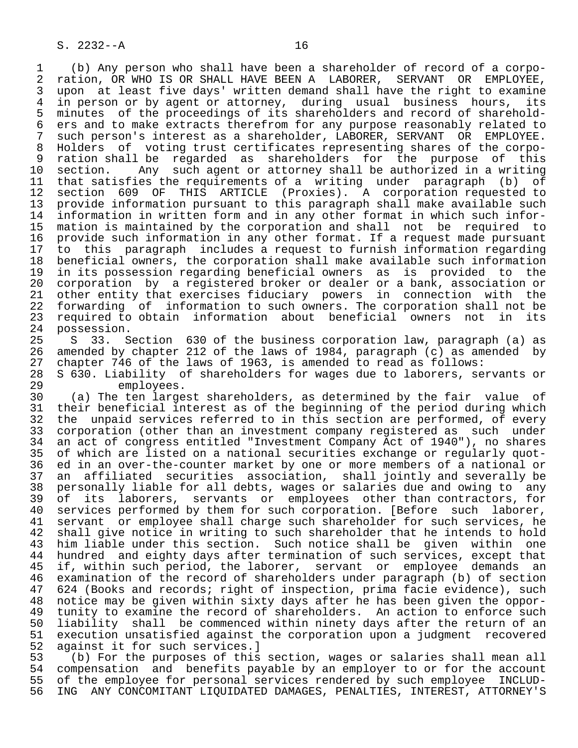1 (b) Any person who shall have been a shareholder of record of a corpo- 2 ration, OR WHO IS OR SHALL HAVE BEEN A LABORER, SERVANT OR EMPLOYEE,<br>3 upon at least five days' written demand shall have the right to examine 3 upon at least five days' written demand shall have the right to examine<br>4 in person or by agent or attorney, during usual business hours, its 4 in person or by agent or attorney, during usual business hours, its<br>5 minutes of the proceedings of its shareholders and record of sharehold- 5 minutes of the proceedings of its shareholders and record of sharehold- 6 ers and to make extracts therefrom for any purpose reasonably related to<br>7 such person's interest as a shareholder, LABORER, SERVANT OR EMPLOYEE. 7 such person's interest as a shareholder, LABORER, SERVANT OR EMPLOYEE.<br>8 Holders of voting trust certificates representing shares of the corpo-8 Holders of voting trust certificates representing shares of the corpo-<br>8 ration shall be regarded as shareholders for the purpose of this 9 ration shall be regarded as shareholders for the purpose of this<br>10 section. Any such agent or attorney shall be authorized in a writing 10 section. Any such agent or attorney shall be authorized in a writing<br>11 that satisfies the requirements of a writing under paragraph (b) of 11 that satisfies the requirements of a writing under paragraph (b) of<br>12 section 609 OF THIS ARTICLE (Proxies). A corporation requested to 12 section 609 OF THIS ARTICLE (Proxies). A corporation requested to 13 provide information pursuant to this paragraph shall make available such<br>14 information in written form and in any other format in which such inforinformation in written form and in any other format in which such infor- 15 mation is maintained by the corporation and shall not be required to 16 provide such information in any other format. If a request made pursuant<br>17 to this paragraph includes a request to furnish information regarding 17 to this paragraph includes a request to furnish information regarding<br>18 beneficial owners, the corporation shall make available such information 18 beneficial owners, the corporation shall make available such information<br>19 in its possession regarding beneficial owners as is provided to the 19 in its possession regarding beneficial owners as is provided to the<br>20 corporation by a registered broker or dealer or a bank, association or 20 corporation by a registered broker or dealer or a bank, association or<br>21 other entity that exercises fiduciary powers in connection with the 21 other entity that exercises fiduciary powers in connection with the<br>22 forwarding of information to such owners. The corporation shall not be 22 forwarding of information to such owners. The corporation shall not be<br>23 required to obtain information about beneficial owners not in its 23 required to obtain information about beneficial owners not in its<br>24 possession.

24 possession.<br>25 S 33. S 25 S 33. Section 630 of the business corporation law, paragraph (a) as 26 amended by chapter 212 of the laws of 1984, paragraph (c) as amended by<br>27 chapter 746 of the laws of 1963, is amended to read as follows: 27 chapter 746 of the laws of 1963, is amended to read as follows:<br>28 S 630. Liability of shareholders for wages due to laborers, se 28 S 630. Liability of shareholders for wages due to laborers, servants or employees.

29 employees.<br>30 (a) The ten large 30 (a) The ten largest shareholders, as determined by the fair value of 31 their beneficial interest as of the beginning of the period during which<br>32 the unpaid services referred to in this section are performed, of every 32 the unpaid services referred to in this section are performed, of every<br>33 corporation (other than an investment company registered as such under 33 corporation (other than an investment company registered as such under<br>34 an act of congress entitled "Investment Company Act of 1940"), no shares 34 an act of congress entitled "Investment Company Act of 1940"), no shares 35 of which are listed on a national securities exchange or regularly quot-<br>36 ed in an over-the-counter market by one or more members of a national or 36 ed in an over-the-counter market by one or more members of a national or<br>37 an affiliated securities association, shall jointly and severally be 37 an affiliated securities association, shall jointly and severally be 38 personally liable for all debts, wages or salaries due and owing to any<br>39 of its laborers, servants or emplovees other than contractors, for 39 of its laborers, servants or employees other than contractors, for<br>40 services performed by them for such corporation. [Before such laborer, 40 services performed by them for such corporation. [Before such laborer,<br>41 servant or employee shall charge such shareholder for such services, he 41 servant or employee shall charge such shareholder for such services, he<br>42 shall give notice in writing to such shareholder that he intends to hold 42 shall give notice in writing to such shareholder that he intends to hold<br>43 him liable under this section. Such notice shall be given within one 43 him liable under this section. Such notice shall be given within one<br>44 hundred and eighty days after termination of such services, except that 44 hundred and eighty days after termination of such services, except that<br>45 if, within such period, the laborer, servant or employee demands an if, within such period, the laborer, servant or employee demands an 46 examination of the record of shareholders under paragraph (b) of section<br>47 624 (Books and records; right of inspection, prima facie evidence), such 47 624 (Books and records; right of inspection, prima facie evidence), such<br>48 notice may be given within sixty days after he has been given the oppor- 48 notice may be given within sixty days after he has been given the oppor- 49 tunity to examine the record of shareholders. An action to enforce such<br>50 liability shall be commenced within ninety days after the return of an 50 liability shall be commenced within ninety days after the return of an<br>51 execution unsatisfied against the corporation upon a judgment recovered 51 execution unsatisfied against the corporation upon a judgment recovered<br>52 against it for such services.] 52 against it for such services.]<br>53 (b) For the purposes of this

 53 (b) For the purposes of this section, wages or salaries shall mean all 54 compensation and benefits payable by an employer to or for the account<br>55 of the employee for personal services rendered by such employee INCLUD-55 of the employee for personal services rendered by such employee INCLUD-<br>56 ING ANY CONCOMITANT LIOUIDATED DAMAGES, PENALTIES, INTEREST, ATTORNEY'S ING ANY CONCOMITANT LIQUIDATED DAMAGES, PENALTIES, INTEREST, ATTORNEY'S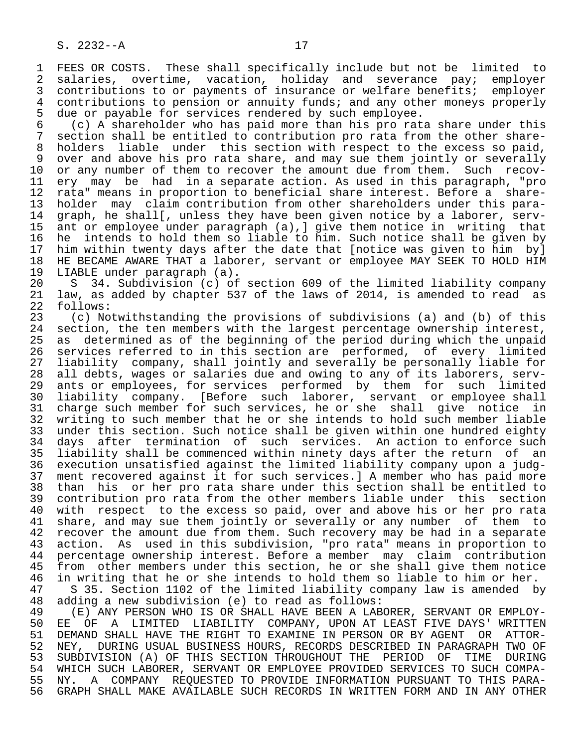1 FEES OR COSTS. These shall specifically include but not be limited to<br>2 salaries, overtime, vacation, holiday and severance pav; emplover 2 salaries, overtime, vacation, holiday and severance pay; employer<br>3 contributions to or payments of insurance or welfare benefits; employer 3 contributions to or payments of insurance or welfare benefits; employer<br>4 contributions to pension or annuity funds; and any other moneys properly 4 contributions to pension or annuity funds; and any other moneys properly<br>5 due or payable for services rendered by such employee. 5 due or payable for services rendered by such employee.<br>6 (c) A shareholder who has paid more than his pro rate

 6 (c) A shareholder who has paid more than his pro rata share under this 7 section shall be entitled to contribution pro rata from the other share-<br>8 holders liable, under this section with respect to the excess so paid. 8 holders liable under this section with respect to the excess so paid,<br>8 over and above his pro rata share, and may sue them jointly or severally 9 over and above his pro rata share, and may sue them jointly or severally<br>10 or any number of them to recover the amount due from them. Such recov-10 or any number of them to recover the amount due from them. Such recov-<br>11 erv may be had in a separate action. As used in this paragraph, "pro 11 ery may be had in a separate action. As used in this paragraph, "pro<br>12 rata" means in proportion to beneficial share interest. Before a share-12 rata" means in proportion to beneficial share interest. Before a share-<br>13 holder may claim contribution from other shareholders under this para-13 holder may claim contribution from other shareholders under this para-<br>14 graph, he shall[, unless they have been given notice by a laborer, servgraph, he shall[, unless they have been given notice by a laborer, serv-15 ant or employee under paragraph (a),] give them notice in writing that<br>16 he intends to hold them so liable to him. Such notice shall be given by 16 he intends to hold them so liable to him. Such notice shall be given by<br>17 him within twenty days after the date that Inotice was given to him byl 17 him within twenty days after the date that [notice was given to him by]<br>18 HE BECAME AWARE THAT a laborer, servant or employee MAY SEEK TO HOLD HIM 18 HE BECAME AWARE THAT a laborer, servant or employee MAY SEEK TO HOLD HIM<br>19 LIABLE under paragraph (a). 19 LIABLE under paragraph (a).<br>20 S 34. Subdivision (c) of

20 S 34. Subdivision (c) of section 609 of the limited liability company<br>21 law, as added by chapter 537 of the laws of 2014, is amended to read as 21 law, as added by chapter 537 of the laws of 2014, is amended to read as

22 follows:<br>23 (c) No 23 (c) Notwithstanding the provisions of subdivisions (a) and (b) of this 24 section, the ten members with the largest percentage ownership interest,<br>25 as determined as of the beginning of the period during which the unpaid as determined as of the beginning of the period during which the unpaid 26 services referred to in this section are performed, of every limited<br>27 liability company, shall jointly and severally be personally liable for 27 liability company, shall jointly and severally be personally liable for<br>28 all debts, wages or salaries due and owing to any of its laborers, serv-28 all debts, wages or salaries due and owing to any of its laborers, serv-<br>29 ants or employees, for services performed by them for such limited 29 ants or employees, for services performed by them for such limited<br>30 liability company. [Before such laborer, servant or employee shall 30 liability company. [Before such laborer, servant or employee shall 31 charge such member for such services, he or she shall give notice in<br>32 writing to such member that he or she intends to hold such member liable 32 writing to such member that he or she intends to hold such member liable<br>33 under this section. Such notice shall be given within one hundred eighty 33 under this section. Such notice shall be given within one hundred eighty<br>34 days after termination of such services. An action to enforce such 34 days after termination of such services. An action to enforce such<br>35 liability shall be commenced within ninety days after the return of an 31 days areer commented within ninety days after the return of an<br>36 execution unsatisfied against the limited liability company upon a judg- 36 execution unsatisfied against the limited liability company upon a judg- 37 ment recovered against it for such services.] A member who has paid more 38 than his or her pro rata share under this section shall be entitled to<br>39 contribution pro rata from the other members liable under this section 39 contribution pro rata from the other members liable under this section<br>40 with respect to the excess so paid, over and above his or her pro rata 40 with respect to the excess so paid, over and above his or her pro rata<br>41 share, and may sue them jointly or severally or any number of them to 41 share, and may sue them jointly or severally or any number of them to<br>42 recover the amount due from them. Such recovery may be had in a separate 42 recover the amount due from them. Such recovery may be had in a separate<br>43 action. As used in this subdivision, "pro rata" means in proportion to 43 action. As used in this subdivision, "pro rata" means in proportion to<br>44 percentage ownership interest. Before a member may claim contribution 44 percentage ownership interest. Before a member may claim contribution<br>45 from other members under this section, he or she shall give them notice from other members under this section, he or she shall give them notice 46 in writing that he or she intends to hold them so liable to him or her.<br>47 S 35. Section 1102 of the limited liability company law is amended b 47 S 35. Section 1102 of the limited liability company law is amended by<br>48 adding a new subdivision (e) to read as follows:

 48 adding a new subdivision (e) to read as follows: 49 (E) ANY PERSON WHO IS OR SHALL HAVE BEEN A LABORER, SERVANT OR EMPLOY-<br>50 EE OF A LIMITED LIABILITY COMPANY, UPON AT LEAST FIVE DAYS' WRITTEN 50 EE OF A LIMITED LIABILITY COMPANY, UPON AT LEAST FIVE DAYS' WRITTEN<br>51 DEMAND SHALL HAVE THE RIGHT TO EXAMINE IN PERSON OR BY AGENT OR ATTOR-51 DEMAND SHALL HAVE THE RIGHT TO EXAMINE IN PERSON OR BY AGENT OR ATTOR-<br>52 NEY, DURING USUAL BUSINESS HOURS, RECORDS DESCRIBED IN PARAGRAPH TWO OF 52 NEY, DURING USUAL BUSINESS HOURS, RECORDS DESCRIBED IN PARAGRAPH TWO OF<br>53 SUBDIVISION (A) OF THIS SECTION THROUGHOUT THE PERIOD OF TIME DURING 53 SUBDIVISION (A) OF THIS SECTION THROUGHOUT THE PERIOD OF TIME DURING<br>54 WHICH SUCH LABORER, SERVANT OR EMPLOYEE PROVIDED SERVICES TO SUCH COMPA-54 WHICH SUCH LABORER, SERVANT OR EMPLOYEE PROVIDED SERVICES TO SUCH COMPA-<br>55 NY. A COMPANY REOUESTED TO PROVIDE INFORMATION PURSUANT TO THIS PARA-55 NY. A COMPANY REQUESTED TO PROVIDE INFORMATION PURSUANT TO THIS PARA-<br>56 GRAPH SHALL MAKE AVAILABLE SUCH RECORDS IN WRITTEN FORM AND IN ANY OTHER 56 GRAPH SHALL MAKE AVAILABLE SUCH RECORDS IN WRITTEN FORM AND IN ANY OTHER